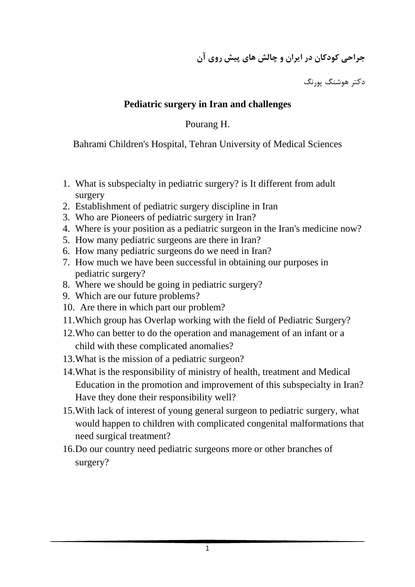**جراحي كودكان در ايران و چالش هاي پيش روي آن**

دكتر هوشنگ پورنگ

## **Pediatric surgery in Iran and challenges**

Pourang H.

Bahrami Children's Hospital, Tehran University of Medical Sciences

- 1. What is subspecialty in pediatric surgery? is It different from adult surgery
- 2. Establishment of pediatric surgery discipline in Iran
- 3. Who are Pioneers of pediatric surgery in Iran?
- 4. Where is your position as a pediatric surgeon in the Iran's medicine now?
- 5. How many pediatric surgeons are there in Iran?
- 6. How many pediatric surgeons do we need in Iran?
- 7. How much we have been successful in obtaining our purposes in pediatric surgery?
- 8. Where we should be going in pediatric surgery?
- 9. Which are our future problems?
- 10. Are there in which part our problem?
- 11.Which group has Overlap working with the field of Pediatric Surgery?
- 12.Who can better to do the operation and management of an infant or a child with these complicated anomalies?
- 13.What is the mission of a pediatric surgeon?
- 14.What is the responsibility of ministry of health, treatment and Medical Education in the promotion and improvement of this subspecialty in Iran? Have they done their responsibility well?
- 15.With lack of interest of young general surgeon to pediatric surgery, what would happen to children with complicated congenital malformations that need surgical treatment?
- 16.Do our country need pediatric surgeons more or other branches of surgery?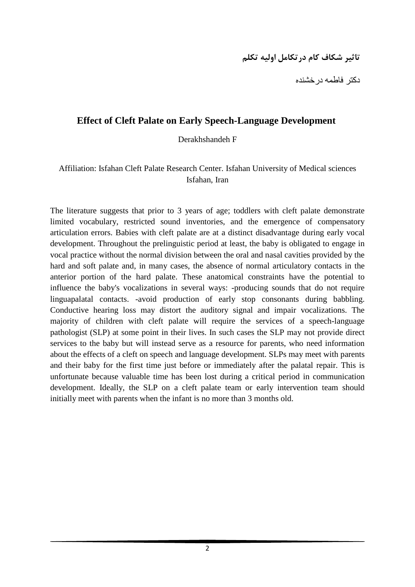## **تاثير شكاف كام درتكامل اوليه تكلم**

دكتر فاطمه درخشنده

### **Effect of Cleft Palate on Early Speech-Language Development**

Derakhshandeh F

#### Affiliation: Isfahan Cleft Palate Research Center. Isfahan University of Medical sciences Isfahan, Iran

The literature suggests that prior to 3 years of age; toddlers with cleft palate demonstrate limited vocabulary, restricted sound inventories, and the emergence of compensatory articulation errors. Babies with cleft palate are at a distinct disadvantage during early vocal development. Throughout the prelinguistic period at least, the baby is obligated to engage in vocal practice without the normal division between the oral and nasal cavities provided by the hard and soft palate and, in many cases, the absence of normal articulatory contacts in the anterior portion of the hard palate. These anatomical constraints have the potential to influence the baby's vocalizations in several ways: -producing sounds that do not require linguapalatal contacts. -avoid production of early stop consonants during babbling. Conductive hearing loss may distort the auditory signal and impair vocalizations. The majority of children with cleft palate will require the services of a speech-language pathologist (SLP) at some point in their lives. In such cases the SLP may not provide direct services to the baby but will instead serve as a resource for parents, who need information about the effects of a cleft on speech and language development. SLPs may meet with parents and their baby for the first time just before or immediately after the palatal repair. This is unfortunate because valuable time has been lost during a critical period in communication development. Ideally, the SLP on a cleft palate team or early intervention team should initially meet with parents when the infant is no more than 3 months old.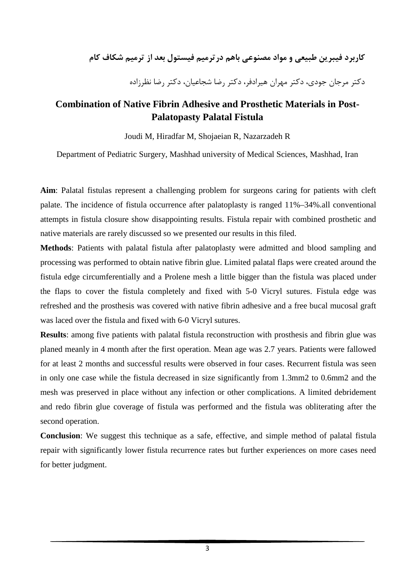**كاربرد فيبرين طبيعي و مواد مصنوعي باهم درترميم فيستول بعد از ترميم شكاف كام**

دكتر مرجان جودي، دكتر مهران هيرادفر، دكتر رضا شجاعيان، دكتر رضا نظرزاده

## **Combination of Native Fibrin Adhesive and Prosthetic Materials in Post-Palatopasty Palatal Fistula**

Joudi M, Hiradfar M, Shojaeian R, Nazarzadeh R

Department of Pediatric Surgery, Mashhad university of Medical Sciences, Mashhad, Iran

**Aim**: Palatal fistulas represent a challenging problem for surgeons caring for patients with cleft palate. The incidence of fistula occurrence after palatoplasty is ranged 11%–34%.all conventional attempts in fistula closure show disappointing results. Fistula repair with combined prosthetic and native materials are rarely discussed so we presented our results in this filed.

**Methods**: Patients with palatal fistula after palatoplasty were admitted and blood sampling and processing was performed to obtain native fibrin glue. Limited palatal flaps were created around the fistula edge circumferentially and a Prolene mesh a little bigger than the fistula was placed under the flaps to cover the fistula completely and fixed with 5-0 Vicryl sutures. Fistula edge was refreshed and the prosthesis was covered with native fibrin adhesive and a free bucal mucosal graft was laced over the fistula and fixed with 6-0 Vicryl sutures.

**Results**: among five patients with palatal fistula reconstruction with prosthesis and fibrin glue was planed meanly in 4 month after the first operation. Mean age was 2.7 years. Patients were fallowed for at least 2 months and successful results were observed in four cases. Recurrent fistula was seen in only one case while the fistula decreased in size significantly from 1.3mm2 to 0.6mm2 and the mesh was preserved in place without any infection or other complications. A limited debridement and redo fibrin glue coverage of fistula was performed and the fistula was obliterating after the second operation.

**Conclusion**: We suggest this technique as a safe, effective, and simple method of palatal fistula repair with significantly lower fistula recurrence rates but further experiences on more cases need for better judgment.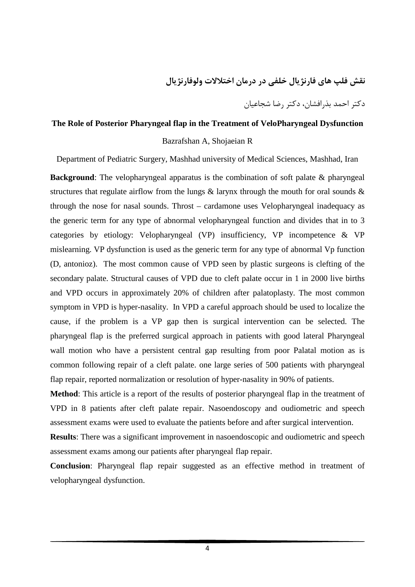**نقش فلپ هاي فارنژيال خلفي در درمان اختلالات ولوفارنژيال** 

دكتر احمد بذرافشان، دكتر رضا شجاعيان

#### **The Role of Posterior Pharyngeal flap in the Treatment of VeloPharyngeal Dysfunction**

#### Bazrafshan A, Shojaeian R

Department of Pediatric Surgery, Mashhad university of Medical Sciences, Mashhad, Iran

**Background**: The velopharyngeal apparatus is the combination of soft palate & pharyngeal structures that regulate airflow from the lungs  $\&$  larynx through the mouth for oral sounds  $\&$ through the nose for nasal sounds. Throst – cardamone uses Velopharyngeal inadequacy as the generic term for any type of abnormal velopharyngeal function and divides that in to 3 categories by etiology: Velopharyngeal (VP) insufficiency, VP incompetence & VP mislearning. VP dysfunction is used as the generic term for any type of abnormal Vp function (D, antonioz). The most common cause of VPD seen by plastic surgeons is clefting of the secondary palate. Structural causes of VPD due to cleft palate occur in 1 in 2000 live births and VPD occurs in approximately 20% of children after palatoplasty. The most common symptom in VPD is hyper-nasality. In VPD a careful approach should be used to localize the cause, if the problem is a VP gap then is surgical intervention can be selected. The pharyngeal flap is the preferred surgical approach in patients with good lateral Pharyngeal wall motion who have a persistent central gap resulting from poor Palatal motion as is common following repair of a cleft palate. one large series of 500 patients with pharyngeal flap repair, reported normalization or resolution of hyper-nasality in 90% of patients.

**Method**: This article is a report of the results of posterior pharyngeal flap in the treatment of VPD in 8 patients after cleft palate repair. Nasoendoscopy and oudiometric and speech assessment exams were used to evaluate the patients before and after surgical intervention.

**Results**: There was a significant improvement in nasoendoscopic and oudiometric and speech assessment exams among our patients after pharyngeal flap repair.

**Conclusion**: Pharyngeal flap repair suggested as an effective method in treatment of velopharyngeal dysfunction.

4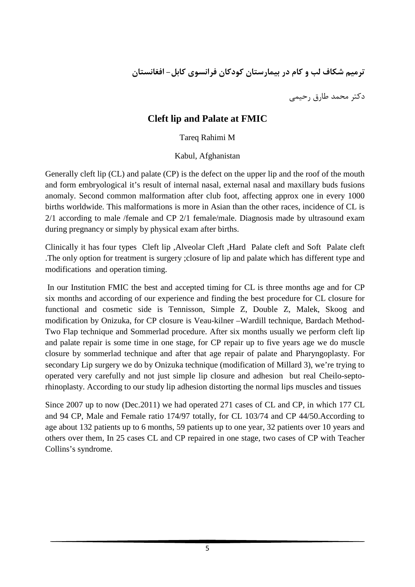**ترميم شكاف لب و كام در بيمارستان كودكان فرانسوي كابل- افغانستان**

دكتر محمد طارق رحيمي

## **Cleft lip and Palate at FMIC**

### Tareq Rahimi M

### Kabul, Afghanistan

Generally cleft lip (CL) and palate (CP) is the defect on the upper lip and the roof of the mouth and form embryological it's result of internal nasal, external nasal and maxillary buds fusions anomaly. Second common malformation after club foot, affecting approx one in every 1000 births worldwide. This malformations is more in Asian than the other races, incidence of CL is 2/1 according to male /female and CP 2/1 female/male. Diagnosis made by ultrasound exam during pregnancy or simply by physical exam after births.

Clinically it has four types Cleft lip ,Alveolar Cleft ,Hard Palate cleft and Soft Palate cleft .The only option for treatment is surgery ;closure of lip and palate which has different type and modifications and operation timing.

In our Institution FMIC the best and accepted timing for CL is three months age and for CP six months and according of our experience and finding the best procedure for CL closure for functional and cosmetic side is Tennisson, Simple Z, Double Z, Malek, Skoog and modification by Onizuka, for CP closure is Veau-kilner –Wardill technique, Bardach Method-Two Flap technique and Sommerlad procedure. After six months usually we perform cleft lip and palate repair is some time in one stage, for CP repair up to five years age we do muscle closure by sommerlad technique and after that age repair of palate and Pharyngoplasty. For secondary Lip surgery we do by Onizuka technique (modification of Millard 3), we're trying to operated very carefully and not just simple lip closure and adhesion but real Cheilo-septorhinoplasty. According to our study lip adhesion distorting the normal lips muscles and tissues

Since 2007 up to now (Dec.2011) we had operated 271 cases of CL and CP, in which 177 CL and 94 CP, Male and Female ratio 174/97 totally, for CL 103/74 and CP 44/50.According to age about 132 patients up to 6 months, 59 patients up to one year, 32 patients over 10 years and others over them, In 25 cases CL and CP repaired in one stage, two cases of CP with Teacher Collins's syndrome.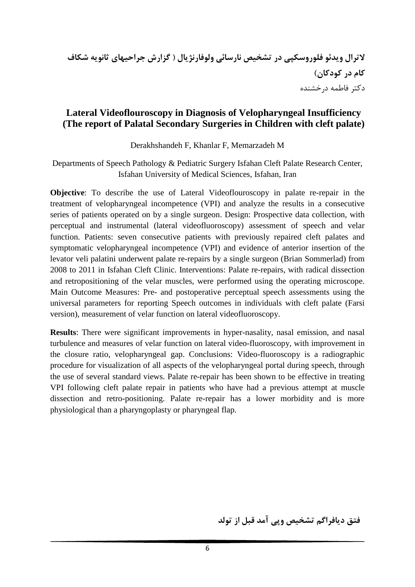### **Lateral Videoflouroscopy in Diagnosis of Velopharyngeal Insufficiency (The report of Palatal Secondary Surgeries in Children with cleft palate)**

Derakhshandeh F, Khanlar F, Memarzadeh M

Departments of Speech Pathology & Pediatric Surgery Isfahan Cleft Palate Research Center, Isfahan University of Medical Sciences, Isfahan, Iran

**Objective**: To describe the use of Lateral Videoflouroscopy in palate re-repair in the treatment of velopharyngeal incompetence (VPI) and analyze the results in a consecutive series of patients operated on by a single surgeon. Design: Prospective data collection, with perceptual and instrumental (lateral videofluoroscopy) assessment of speech and velar function. Patients: seven consecutive patients with previously repaired cleft palates and symptomatic velopharyngeal incompetence (VPI) and evidence of anterior insertion of the levator veli palatini underwent palate re-repairs by a single surgeon (Brian Sommerlad) from 2008 to 2011 in Isfahan Cleft Clinic. Interventions: Palate re-repairs, with radical dissection and retropositioning of the velar muscles, were performed using the operating microscope. Main Outcome Measures: Pre- and postoperative perceptual speech assessments using the universal parameters for reporting Speech outcomes in individuals with cleft palate (Farsi version), measurement of velar function on lateral videofluoroscopy.

**Results**: There were significant improvements in hyper-nasality, nasal emission, and nasal turbulence and measures of velar function on lateral video-fluoroscopy, with improvement in the closure ratio, velopharyngeal gap. Conclusions: Video-fluoroscopy is a radiographic procedure for visualization of all aspects of the velopharyngeal portal during speech, through the use of several standard views. Palate re-repair has been shown to be effective in treating VPI following cleft palate repair in patients who have had a previous attempt at muscle dissection and retro-positioning. Palate re-repair has a lower morbidity and is more physiological than a pharyngoplasty or pharyngeal flap.

**فتق ديافراگم تشخيص وپي آمد قبل از تولد**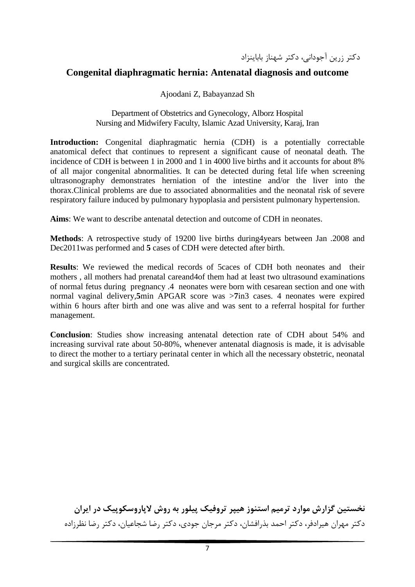دكتر زرين آجوداني، دكتر شهناز باباينزاد

### **Congenital diaphragmatic hernia: Antenatal diagnosis and outcome**

Ajoodani Z, Babayanzad Sh

#### Department of Obstetrics and Gynecology, Alborz Hospital Nursing and Midwifery Faculty, Islamic Azad University, Karaj, Iran

**Introduction:** Congenital diaphragmatic hernia (CDH) is a potentially correctable anatomical defect that continues to represent a significant cause of neonatal death. The incidence of CDH is between 1 in 2000 and 1 in 4000 live births and it accounts for about 8% of all major congenital abnormalities. It can be detected during fetal life when screening ultrasonography demonstrates herniation of the intestine and/or the liver into the thorax.Clinical problems are due to associated abnormalities and the neonatal risk of severe respiratory failure induced by pulmonary hypoplasia and persistent pulmonary hypertension.

**Aims**: We want to describe antenatal detection and outcome of CDH in neonates.

**Methods**: A retrospective study of 19200 live births during4years between Jan .2008 and Dec2011was performed and **5** cases of CDH were detected after birth.

**Results**: We reviewed the medical records of 5caces of CDH both neonates and their mothers , all mothers had prenatal careand4of them had at least two ultrasound examinations of normal fetus during pregnancy .4 neonates were born with cesarean section and one with normal vaginal delivery,**5**min APGAR score was >**7**in3 cases. 4 neonates were expired within 6 hours after birth and one was alive and was sent to a referral hospital for further management.

**Conclusion**: Studies show increasing antenatal detection rate of CDH about 54% and increasing survival rate about 50-80%, whenever antenatal diagnosis is made, it is advisable to direct the mother to a tertiary perinatal center in which all the necessary obstetric, neonatal and surgical skills are concentrated.

**نخستين گزارش موارد ترميم استنوز هيپر تروفيك پيلور به روش لاپاروسكوپيك در ايران** دكتر مهران هيرادفر، دكتر احمد بذرافشان، دكتر مرجان جودي، دكتر رضا شجاعيان، دكتر رضا نظرزاده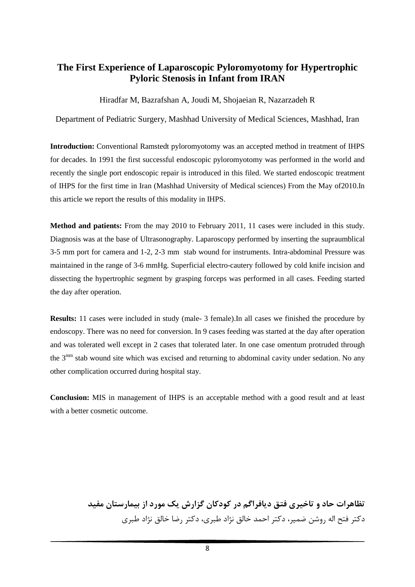### **The First Experience of Laparoscopic Pyloromyotomy for Hypertrophic Pyloric Stenosis in Infant from IRAN**

#### Hiradfar M, Bazrafshan A, Joudi M, Shojaeian R, Nazarzadeh R

Department of Pediatric Surgery, Mashhad University of Medical Sciences, Mashhad, Iran

**Introduction:** Conventional Ramstedt pyloromyotomy was an accepted method in treatment of IHPS for decades. In 1991 the first successful endoscopic pyloromyotomy was performed in the world and recently the single port endoscopic repair is introduced in this filed. We started endoscopic treatment of IHPS for the first time in Iran (Mashhad University of Medical sciences) From the May of2010.In this article we report the results of this modality in IHPS.

**Method and patients:** From the may 2010 to February 2011, 11 cases were included in this study. Diagnosis was at the base of Ultrasonography. Laparoscopy performed by inserting the supraumblical 3-5 mm port for camera and 1-2, 2-3 mm stab wound for instruments. Intra-abdominal Pressure was maintained in the range of 3-6 mmHg. Superficial electro-cautery followed by cold knife incision and dissecting the hypertrophic segment by grasping forceps was performed in all cases. Feeding started the day after operation.

**Results:** 11 cases were included in study (male- 3 female).In all cases we finished the procedure by endoscopy. There was no need for conversion. In 9 cases feeding was started at the day after operation and was tolerated well except in 2 cases that tolerated later. In one case omentum protruded through the 3<sup>mm</sup> stab wound site which was excised and returning to abdominal cavity under sedation. No any other complication occurred during hospital stay.

**Conclusion:** MIS in management of IHPS is an acceptable method with a good result and at least with a better cosmetic outcome.

> **تظاهرات حاد و تاخيري فتق ديافراگم در كودكان گزارش يك مورد از بيمارستان مفيد** دكتر فتح اله روشن ضمير، دكتر احمد خالق نژاد طبري، دكتر رضا خالق نژاد طبري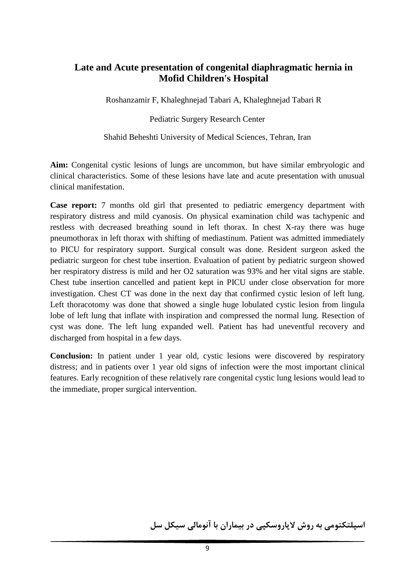## **Late and Acute presentation of congenital diaphragmatic hernia in Mofid Children's Hospital**

Roshanzamir F, Khaleghnejad Tabari A, Khaleghnejad Tabari R

Pediatric Surgery Research Center

Shahid Beheshti University of Medical Sciences, Tehran, Iran

**Aim:** Congenital cystic lesions of lungs are uncommon, but have similar embryologic and clinical characteristics. Some of these lesions have late and acute presentation with unusual clinical manifestation.

**Case report:** 7 months old girl that presented to pediatric emergency department with respiratory distress and mild cyanosis. On physical examination child was tachypenic and restless with decreased breathing sound in left thorax. In chest X-ray there was huge pneumothorax in left thorax with shifting of mediastinum. Patient was admitted immediately to PICU for respiratory support. Surgical consult was done. Resident surgeon asked the pediatric surgeon for chest tube insertion. Evaluation of patient by pediatric surgeon showed her respiratory distress is mild and her O2 saturation was 93% and her vital signs are stable. Chest tube insertion cancelled and patient kept in PICU under close observation for more investigation. Chest CT was done in the next day that confirmed cystic lesion of left lung. Left thoracotomy was done that showed a single huge lobulated cystic lesion from lingula lobe of left lung that inflate with inspiration and compressed the normal lung. Resection of cyst was done. The left lung expanded well. Patient has had uneventful recovery and discharged from hospital in a few days.

**Conclusion:** In patient under 1 year old, cystic lesions were discovered by respiratory distress; and in patients over 1 year old signs of infection were the most important clinical features. Early recognition of these relatively rare congenital cystic lung lesions would lead to the immediate, proper surgical intervention.

**اسپلتكتومي به روش لاپاروسكپي در بيماران با آنومالي سيكل سل**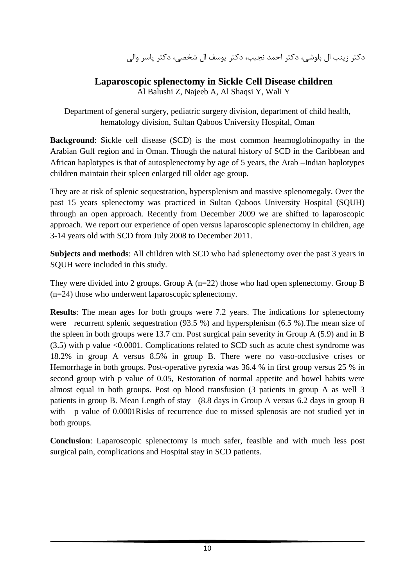دكتر زينب ال بلوشي، دكتر احمد نجيب، دكتر يوسف ال شخصي، دكتر ياسر والي

## **Laparoscopic splenectomy in Sickle Cell Disease children**

Al Balushi Z, Najeeb A, Al Shaqsi Y, Wali Y

Department of general surgery, pediatric surgery division, department of child health, hematology division, Sultan Qaboos University Hospital, Oman

**Background**: Sickle cell disease (SCD) is the most common heamoglobinopathy in the Arabian Gulf region and in Oman. Though the natural history of SCD in the Caribbean and African haplotypes is that of autosplenectomy by age of 5 years, the Arab –Indian haplotypes children maintain their spleen enlarged till older age group.

They are at risk of splenic sequestration, hypersplenism and massive splenomegaly. Over the past 15 years splenectomy was practiced in Sultan Qaboos University Hospital (SQUH) through an open approach. Recently from December 2009 we are shifted to laparoscopic approach. We report our experience of open versus laparoscopic splenectomy in children, age 3-14 years old with SCD from July 2008 to December 2011.

**Subjects and methods**: All children with SCD who had splenectomy over the past 3 years in SQUH were included in this study.

They were divided into 2 groups. Group A (n=22) those who had open splenectomy. Group B (n=24) those who underwent laparoscopic splenectomy.

**Results**: The mean ages for both groups were 7.2 years. The indications for splenectomy were recurrent splenic sequestration (93.5 %) and hypersplenism (6.5 %).The mean size of the spleen in both groups were 13.7 cm. Post surgical pain severity in Group A (5.9) and in B (3.5) with p value <0.0001. Complications related to SCD such as acute chest syndrome was 18.2% in group A versus 8.5% in group B. There were no vaso-occlusive crises or Hemorrhage in both groups. Post-operative pyrexia was 36.4 % in first group versus 25 % in second group with p value of 0.05, Restoration of normal appetite and bowel habits were almost equal in both groups. Post op blood transfusion (3 patients in group A as well 3 patients in group B. Mean Length of stay (8.8 days in Group A versus 6.2 days in group B with p value of 0.0001Risks of recurrence due to missed splenosis are not studied yet in both groups.

**Conclusion**: Laparoscopic splenectomy is much safer, feasible and with much less post surgical pain, complications and Hospital stay in SCD patients.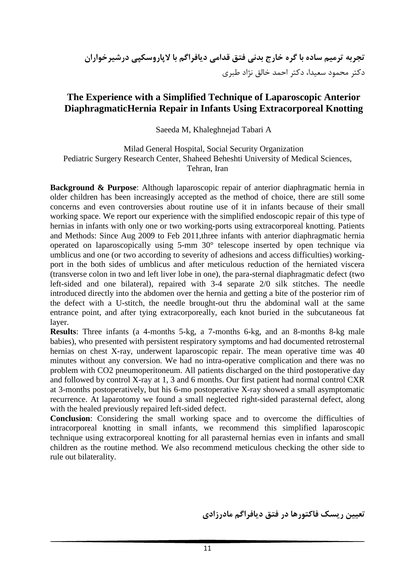## **The Experience with a Simplified Technique of Laparoscopic Anterior DiaphragmaticHernia Repair in Infants Using Extracorporeal Knotting**

Saeeda M, Khaleghnejad Tabari A

Milad General Hospital, Social Security Organization Pediatric Surgery Research Center, Shaheed Beheshti University of Medical Sciences, Tehran, Iran

**Background & Purpose**: Although laparoscopic repair of anterior diaphragmatic hernia in older children has been increasingly accepted as the method of choice, there are still some concerns and even controversies about routine use of it in infants because of their small working space. We report our experience with the simplified endoscopic repair of this type of hernias in infants with only one or two working-ports using extracorporeal knotting. Patients and Methods: Since Aug 2009 to Feb 2011,three infants with anterior diaphragmatic hernia operated on laparoscopically using 5-mm 30° telescope inserted by open technique via umblicus and one (or two according to severity of adhesions and access difficulties) workingport in the both sides of umblicus and after meticulous reduction of the herniated viscera (transverse colon in two and left liver lobe in one), the para-sternal diaphragmatic defect (two left-sided and one bilateral), repaired with 3-4 separate 2/0 silk stitches. The needle introduced directly into the abdomen over the hernia and getting a bite of the posterior rim of the defect with a U-stitch, the needle brought-out thru the abdominal wall at the same entrance point, and after tying extracorporeally, each knot buried in the subcutaneous fat layer.

**Results**: Three infants (a 4-months 5-kg, a 7-months 6-kg, and an 8-months 8-kg male babies), who presented with persistent respiratory symptoms and had documented retrosternal hernias on chest X-ray, underwent laparoscopic repair. The mean operative time was 40 minutes without any conversion. We had no intra-operative complication and there was no problem with CO2 pneumoperitoneum. All patients discharged on the third postoperative day and followed by control X-ray at 1, 3 and 6 months. Our first patient had normal control CXR at 3-months postoperatively, but his 6-mo postoperative X-ray showed a small asymptomatic recurrence. At laparotomy we found a small neglected right-sided parasternal defect, along with the healed previously repaired left-sided defect.

**Conclusion**: Considering the small working space and to overcome the difficulties of intracorporeal knotting in small infants, we recommend this simplified laparoscopic technique using extracorporeal knotting for all parasternal hernias even in infants and small children as the routine method. We also recommend meticulous checking the other side to rule out bilaterality.

**تعيين ريسك فاكتورها در فتق ديافراگم مادرزادي**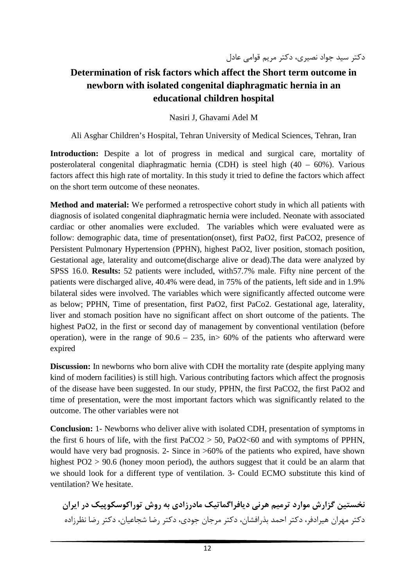## **Determination of risk factors which affect the Short term outcome in newborn with isolated congenital diaphragmatic hernia in an educational children hospital**

Nasiri J, Ghavami Adel M

Ali Asghar Children's Hospital, Tehran University of Medical Sciences, Tehran, Iran

**Introduction:** Despite a lot of progress in medical and surgical care, mortality of posterolateral congenital diaphragmatic hernia (CDH) is steel high (40 – 60%). Various factors affect this high rate of mortality. In this study it tried to define the factors which affect on the short term outcome of these neonates.

**Method and material:** We performed a retrospective cohort study in which all patients with diagnosis of isolated congenital diaphragmatic hernia were included. Neonate with associated cardiac or other anomalies were excluded. The variables which were evaluated were as follow: demographic data, time of presentation(onset), first PaO2, first PaCO2, presence of Persistent Pulmonary Hypertension (PPHN), highest PaO2, liver position, stomach position, Gestational age, laterality and outcome(discharge alive or dead).The data were analyzed by SPSS 16.0. **Results:** 52 patients were included, with57.7% male. Fifty nine percent of the patients were discharged alive, 40.4% were dead, in 75% of the patients, left side and in 1.9% bilateral sides were involved. The variables which were significantly affected outcome were as below; PPHN, Time of presentation, first PaO2, first PaCo2. Gestational age, laterality, liver and stomach position have no significant affect on short outcome of the patients. The highest PaO2, in the first or second day of management by conventional ventilation (before operation), were in the range of  $90.6 - 235$ , in  $> 60\%$  of the patients who afterward were expired

**Discussion:** In newborns who born alive with CDH the mortality rate (despite applying many kind of modern facilities) is still high. Various contributing factors which affect the prognosis of the disease have been suggested. In our study, PPHN, the first PaCO2, the first PaO2 and time of presentation, were the most important factors which was significantly related to the outcome. The other variables were not

**Conclusion:** 1- Newborns who deliver alive with isolated CDH, presentation of symptoms in the first 6 hours of life, with the first  $PaCO2 > 50$ ,  $PaO2 < 60$  and with symptoms of PPHN, would have very bad prognosis. 2- Since in >60% of the patients who expired, have shown highest PO2 > 90.6 (honey moon period), the authors suggest that it could be an alarm that we should look for a different type of ventilation. 3- Could ECMO substitute this kind of ventilation? We hesitate.

**نخستين گزارش موارد ترميم هرني ديافراگماتيك مادرزادي به روش توراكوسكوپيك در ايران** دكتر مهران هيرادفر، دكتر احمد بذرافشان، دكتر مرجان جودي، دكتر رضا شجاعيان، دكتر رضا نظرزاده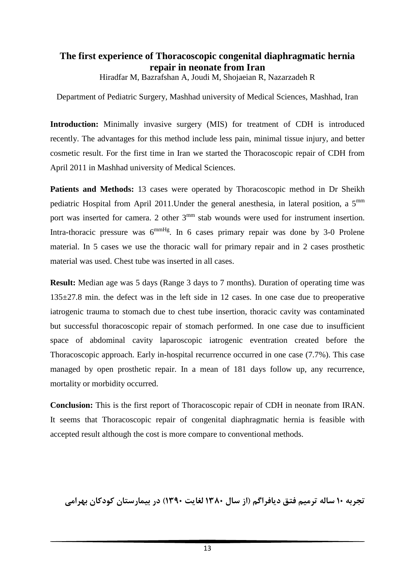## **The first experience of Thoracoscopic congenital diaphragmatic hernia repair in neonate from Iran**

Hiradfar M, Bazrafshan A, Joudi M, Shojaeian R, Nazarzadeh R

Department of Pediatric Surgery, Mashhad university of Medical Sciences, Mashhad, Iran

**Introduction:** Minimally invasive surgery (MIS) for treatment of CDH is introduced recently. The advantages for this method include less pain, minimal tissue injury, and better cosmetic result. For the first time in Iran we started the Thoracoscopic repair of CDH from April 2011 in Mashhad university of Medical Sciences.

**Patients and Methods:** 13 cases were operated by Thoracoscopic method in Dr Sheikh pediatric Hospital from April 2011.Under the general anesthesia, in lateral position, a 5mm port was inserted for camera. 2 other 3<sup>mm</sup> stab wounds were used for instrument insertion. Intra-thoracic pressure was  $6^{mmHg}$ . In 6 cases primary repair was done by 3-0 Prolene material. In 5 cases we use the thoracic wall for primary repair and in 2 cases prosthetic material was used. Chest tube was inserted in all cases.

**Result:** Median age was 5 days (Range 3 days to 7 months). Duration of operating time was 135±27.8 min. the defect was in the left side in 12 cases. In one case due to preoperative iatrogenic trauma to stomach due to chest tube insertion, thoracic cavity was contaminated but successful thoracoscopic repair of stomach performed. In one case due to insufficient space of abdominal cavity laparoscopic iatrogenic eventration created before the Thoracoscopic approach. Early in-hospital recurrence occurred in one case (7.7%). This case managed by open prosthetic repair. In a mean of 181 days follow up, any recurrence, mortality or morbidity occurred.

**Conclusion:** This is the first report of Thoracoscopic repair of CDH in neonate from IRAN. It seems that Thoracoscopic repair of congenital diaphragmatic hernia is feasible with accepted result although the cost is more compare to conventional methods.

**تجربه 10 ساله ترميم فتق ديافراگم (از سال 1380 لغايت 1390) در بيمارستان كودكان بهرامي**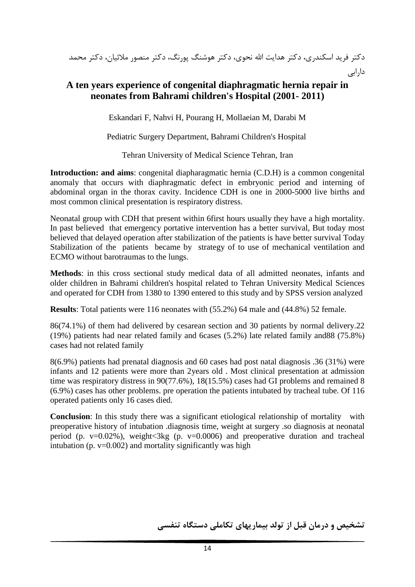دكتر فريد اسكندري، دكتر هدايت االله نحوي، دكتر هوشنگ پورنگ، دكتر منصور ملائيان، دكتر محمد دارابي

### **A ten years experience of congenital diaphragmatic hernia repair in neonates from Bahrami children's Hospital (2001- 2011)**

Eskandari F, Nahvi H, Pourang H, Mollaeian M, Darabi M

Pediatric Surgery Department, Bahrami Children's Hospital

Tehran University of Medical Science Tehran, Iran

**Introduction: and aims**: congenital diapharagmatic hernia (C.D.H) is a common congenital anomaly that occurs with diaphragmatic defect in embryonic period and interning of abdominal organ in the thorax cavity. Incidence CDH is one in 2000-5000 live births and most common clinical presentation is respiratory distress.

Neonatal group with CDH that present within 6first hours usually they have a high mortality. In past believed that emergency portative intervention has a better survival, But today most believed that delayed operation after stabilization of the patients is have better survival Today Stabilization of the patients became by strategy of to use of mechanical ventilation and ECMO without barotraumas to the lungs.

**Methods**: in this cross sectional study medical data of all admitted neonates, infants and older children in Bahrami children's hospital related to Tehran University Medical Sciences and operated for CDH from 1380 to 1390 entered to this study and by SPSS version analyzed

**Results**: Total patients were 116 neonates with (55.2%) 64 male and (44.8%) 52 female.

86(74.1%) of them had delivered by cesarean section and 30 patients by normal delivery.22 (19%) patients had near related family and 6cases (5.2%) late related family and88 (75.8%) cases had not related family

8(6.9%) patients had prenatal diagnosis and 60 cases had post natal diagnosis .36 (31%) were infants and 12 patients were more than 2years old . Most clinical presentation at admission time was respiratory distress in 90(77.6%), 18(15.5%) cases had GI problems and remained 8 (6.9%) cases has other problems. pre operation the patients intubated by tracheal tube. Of 116 operated patients only 16 cases died.

**Conclusion:** In this study there was a significant etiological relationship of mortality with preoperative history of intubation .diagnosis time, weight at surgery .so diagnosis at neonatal period (p.  $v=0.02\%$ ), weight<3kg (p.  $v=0.0006$ ) and preoperative duration and tracheal intubation (p.  $v=0.002$ ) and mortality significantly was high

**تشخيص و درمان قبل از تولد بيماريهاي تكاملي دستگاه تنفسي**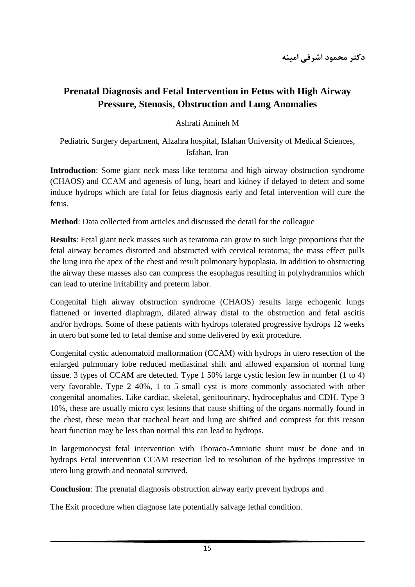## **Prenatal Diagnosis and Fetal Intervention in Fetus with High Airway Pressure, Stenosis, Obstruction and Lung Anomalies**

Ashrafi Amineh M

Pediatric Surgery department, Alzahra hospital, Isfahan University of Medical Sciences, Isfahan, Iran

**Introduction**: Some giant neck mass like teratoma and high airway obstruction syndrome (CHAOS) and CCAM and agenesis of lung, heart and kidney if delayed to detect and some induce hydrops which are fatal for fetus diagnosis early and fetal intervention will cure the fetus.

**Method**: Data collected from articles and discussed the detail for the colleague

**Results**: Fetal giant neck masses such as teratoma can grow to such large proportions that the fetal airway becomes distorted and obstructed with cervical teratoma; the mass effect pulls the lung into the apex of the chest and result pulmonary hypoplasia. In addition to obstructing the airway these masses also can compress the esophagus resulting in polyhydramnios which can lead to uterine irritability and preterm labor.

Congenital high airway obstruction syndrome (CHAOS) results large echogenic lungs flattened or inverted diaphragm, dilated airway distal to the obstruction and fetal ascitis and/or hydrops. Some of these patients with hydrops tolerated progressive hydrops 12 weeks in utero but some led to fetal demise and some delivered by exit procedure.

Congenital cystic adenomatoid malformation (CCAM) with hydrops in utero resection of the enlarged pulmonary lobe reduced mediastinal shift and allowed expansion of normal lung tissue. 3 types of CCAM are detected. Type 1 50% large cystic lesion few in number (1 to 4) very favorable. Type 2 40%, 1 to 5 small cyst is more commonly associated with other congenital anomalies. Like cardiac, skeletal, genitourinary, hydrocephalus and CDH. Type 3 10%, these are usually micro cyst lesions that cause shifting of the organs normally found in the chest, these mean that tracheal heart and lung are shifted and compress for this reason heart function may be less than normal this can lead to hydrops.

In largemonocyst fetal intervention with Thoraco-Amniotic shunt must be done and in hydrops Fetal intervention CCAM resection led to resolution of the hydrops impressive in utero lung growth and neonatal survived.

**Conclusion**: The prenatal diagnosis obstruction airway early prevent hydrops and

The Exit procedure when diagnose late potentially salvage lethal condition.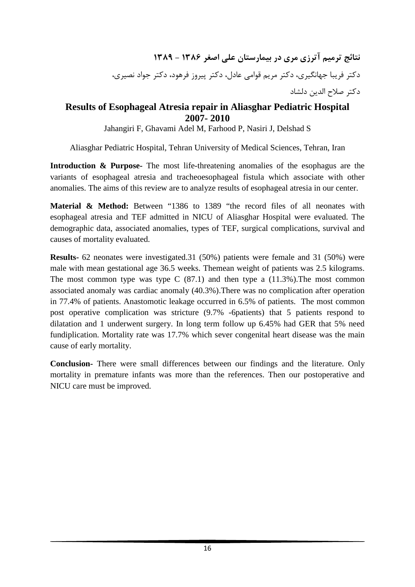**نتائج ترميم آترزي مري در بيمارستان علي اصغر 1386 - 1389** دكتر فريبا جهانگيري، دكتر مريم قوامي عادل، دكتر پيروز فرهود، دكتر جواد نصيري، دكتر صلاح الدين دلشاد

## **Results of Esophageal Atresia repair in Aliasghar Pediatric Hospital 2007- 2010**

Jahangiri F, Ghavami Adel M, Farhood P, Nasiri J, Delshad S

Aliasghar Pediatric Hospital, Tehran University of Medical Sciences, Tehran, Iran

**Introduction & Purpose-** The most life-threatening anomalies of the esophagus are the variants of esophageal atresia and tracheoesophageal fistula which associate with other anomalies. The aims of this review are to analyze results of esophageal atresia in our center.

**Material & Method:** Between "1386 to 1389 "the record files of all neonates with esophageal atresia and TEF admitted in NICU of Aliasghar Hospital were evaluated. The demographic data, associated anomalies, types of TEF, surgical complications, survival and causes of mortality evaluated.

**Results-** 62 neonates were investigated.31 (50%) patients were female and 31 (50%) were male with mean gestational age 36.5 weeks. Themean weight of patients was 2.5 kilograms. The most common type was type C  $(87.1)$  and then type a  $(11.3\%)$ . The most common associated anomaly was cardiac anomaly (40.3%).There was no complication after operation in 77.4% of patients. Anastomotic leakage occurred in 6.5% of patients. The most common post operative complication was stricture (9.7% -6patients) that 5 patients respond to dilatation and 1 underwent surgery. In long term follow up 6.45% had GER that 5% need fundiplication. Mortality rate was 17.7% which sever congenital heart disease was the main cause of early mortality.

**Conclusion-** There were small differences between our findings and the literature. Only mortality in premature infants was more than the references. Then our postoperative and NICU care must be improved.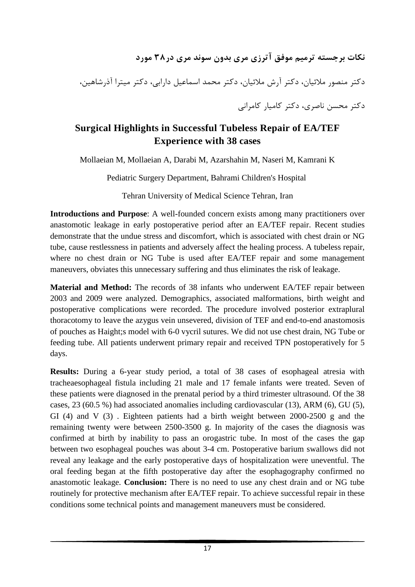# **نكات برجسته ترميم موفق آترزي مري بدون سوند مري در38 مورد**

دكتر منصور ملائيان، دكتر آرش ملائيان، دكتر محمد اسماعيل دارابي، دكتر ميترا آذرشاهين، دكتر محسن ناصري، دكتر كاميار كامراني

## **Surgical Highlights in Successful Tubeless Repair of EA/TEF Experience with 38 cases**

Mollaeian M, Mollaeian A, Darabi M, Azarshahin M, Naseri M, Kamrani K

Pediatric Surgery Department, Bahrami Children's Hospital

Tehran University of Medical Science Tehran, Iran

**Introductions and Purpose**: A well-founded concern exists among many practitioners over anastomotic leakage in early postoperative period after an EA/TEF repair. Recent studies demonstrate that the undue stress and discomfort, which is associated with chest drain or NG tube, cause restlessness in patients and adversely affect the healing process. A tubeless repair, where no chest drain or NG Tube is used after EA/TEF repair and some management maneuvers, obviates this unnecessary suffering and thus eliminates the risk of leakage.

**Material and Method:** The records of 38 infants who underwent EA/TEF repair between 2003 and 2009 were analyzed. Demographics, associated malformations, birth weight and postoperative complications were recorded. The procedure involved posterior extraplural thoracotomy to leave the azygus vein unsevered, division of TEF and end-to-end anastomosis of pouches as Haight;s model with 6-0 vycril sutures. We did not use chest drain, NG Tube or feeding tube. All patients underwent primary repair and received TPN postoperatively for 5 days.

**Results:** During a 6-year study period, a total of 38 cases of esophageal atresia with tracheaesophageal fistula including 21 male and 17 female infants were treated. Seven of these patients were diagnosed in the prenatal period by a third trimester ultrasound. Of the 38 cases, 23 (60.5 %) had associated anomalies including cardiovascular (13), ARM (6), GU (5), GI (4) and V (3). Eighteen patients had a birth weight between 2000-2500 g and the remaining twenty were between 2500-3500 g. In majority of the cases the diagnosis was confirmed at birth by inability to pass an orogastric tube. In most of the cases the gap between two esophageal pouches was about 3-4 cm. Postoperative barium swallows did not reveal any leakage and the early postoperative days of hospitalization were uneventful. The oral feeding began at the fifth postoperative day after the esophagography confirmed no anastomotic leakage. **Conclusion:** There is no need to use any chest drain and or NG tube routinely for protective mechanism after EA/TEF repair. To achieve successful repair in these conditions some technical points and management maneuvers must be considered.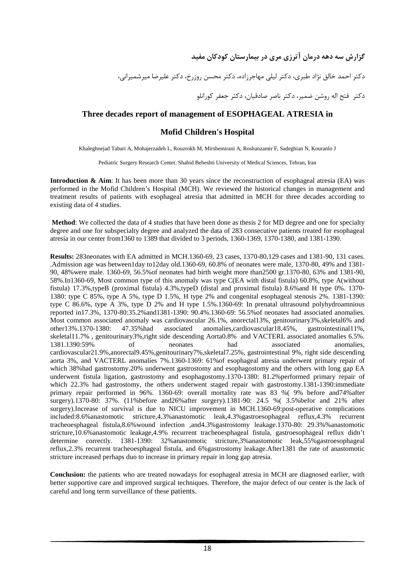**گزارش سه دهه درمان آترزي مري در بيمارستان كودكان مفيد**

دكتر احمد خالق نژاد طبري، دكتر ليلي مهاجرزاده، دكتر محسن روزرخ، دكتر عليرضا ميرشميراني،

دكتر فتح اله روشن ضمير، دكتر ناصر صادقيان، دكتر جعفر كورانلو

#### **Three decades report of management of ESOPHAGEAL ATRESIA in**

#### **Mofid Children's Hospital**

Khaleghnejad Tabari A, Mohajerzadeh L, Rouzrokh M, Mirshemirani A, Roshanzamir F, Sadeghian N, Kouranlo J

Pediatric Surgery Research Center, Shahid Beheshti University of Medical Sciences, Tehran, Iran

**Introduction & Aim**: It has been more than 30 years since the reconstruction of esophageal atresia (EA) was performed in the Mofid Children's Hospital (MCH). We reviewed the historical changes in management and treatment results of patients with esophageal atresia that admitted in MCH for three decades according to existing data of 4 studies.

**Method**: We collected the data of 4 studies that have been done as thesis 2 for MD degree and one for specialty degree and one for subspecialty degree and analyzed the data of 283 consecutive patients treated for esophageal atresia in our center from1360 to 1389 that divided to 3 periods, 1360-1369, 1370-1380, and 1381-1390.

**Results:** 283neonates with EA admitted in MCH.1360-69, 23 cases, 1370-80,129 cases and 1381-90, 131 cases. .Admission age was between1day to12day old.1360-69, 60.8% of neonates were male, 1370-80, 49% and 1381- 90, 48%were male. 1360-69, 56.5%of neonates had birth weight more than2500 gr.1370-80, 63% and 1381-90, 58%.In1360-69, Most common type of this anomaly was type C(EA with distal fistula) 60.8%, type A(without fistula) 17.3%,typeB (proximal fistula) 4.3%,typeD (distal and proximal fistula) 8.6%and H type 0%. 1370- 1380: type C 85%, type A 5%, type D 1.5%, H type 2% and congenital esophageal stenosis 2%. 1381-1390: type C 86.6%, type A 3%, type D 2% and H type 1.5%.1360-69: In prenatal ultrasound polyhydroamnious reported in17.3%, 1370-80:35.2%and1381-1390: 90.4%.1360-69: 56.5%of neonates had associated anomalies. Most common associated anomaly was cardiovascular 26.1%, anorectal13%, genitourinary3%, skeletal6% and other13%.1370-1380: 47.35%had associated anomalies,cardiovascular18.45%, gastrointestinal11%, skeletal11.7%, genitourinary3%,right side descending Aorta0.8% and VACTERL associated anomalies 6.5%. 1381.1390:59% of neonates had associated anomalies, cardiovascular21.9%,anorectal9.45%,genitourinary7%,skeletal7.25%, gastrointestinal 9%, right side descending aorta 3%, and VACTERL anomalies 7%.1360-1369: 61%of esophageal atresia underwent primary repair of which 38%had gastrostomy.20% underwent gastrostomy and esophagostomy and the others with long gap EA underwent fistula ligation, gastrostomy and esophagostomy.1370-1380: 81.2%performed primary repair of which 22.3% had gastrostomy, the others underwent staged repair with gastrostomy.1381-1390:immediate primary repair performed in 96%. 1360-69: overall mortality rate was 83 %( 9% before and74%after surgery).1370-80: 37%. (11%before and26%after surgery).1381-90: 24.5 %( 3.5%befor and 21% after surgery).Increase of survival is due to NICU improvement in MCH.1360-69:post-operative complications included:8.6%anastomotic stricture,4.3%anastomotic leak,4.3%gastroesophageal reflux,4.3% recurrent tracheoesphageal fistula,8.6%wound infection ,and4.3%gastrostomy leakage.1370-80: 29.3%%anastomotic stricture,10.6%anastomotic leakage,4.9% recurrent tracheoesphageal fistula, gastroesophageal reflux didn't determine correctly. 1381-1390: 32% anastomotic stricture, 3% anastomotic leak, 55% gastroesophageal reflux,2.3% recurrent tracheoesphageal fistula, and 6%gastrostomy leakage.After1381 the rate of anastomotic stricture increased perhaps duo to increase in primary repair in long gap atresia.

**Conclusion:** the patients who are treated nowadays for esophageal atresia in MCH are diagnosed earlier, with better supportive care and improved surgical techniques. Therefore, the major defect of our center is the lack of careful and long term surveillance of these patients.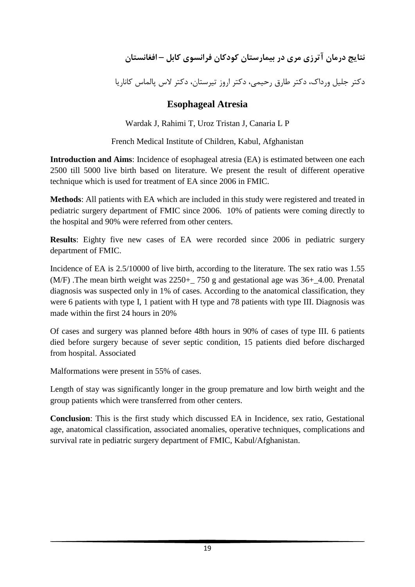**نتايج درمان آترزي مري در بيمارستان كودكان فرانسوي كابل – افغانستان**

دكتر جليل ورداك، دكتر طارق رحيمي، دكتر اروز تيرستان، دكتر لاس پالماس كاناريا

### **Esophageal Atresia**

Wardak J, Rahimi T, Uroz Tristan J, Canaria L P

French Medical Institute of Children, Kabul, Afghanistan

**Introduction and Aims**: Incidence of esophageal atresia (EA) is estimated between one each 2500 till 5000 live birth based on literature. We present the result of different operative technique which is used for treatment of EA since 2006 in FMIC.

**Methods**: All patients with EA which are included in this study were registered and treated in pediatric surgery department of FMIC since 2006. 10% of patients were coming directly to the hospital and 90% were referred from other centers.

**Results**: Eighty five new cases of EA were recorded since 2006 in pediatric surgery department of FMIC.

Incidence of EA is 2.5/10000 of live birth, according to the literature. The sex ratio was 1.55 (M/F). The mean birth weight was  $2250+750$  g and gestational age was  $36+4.00$ . Prenatal diagnosis was suspected only in 1% of cases. According to the anatomical classification, they were 6 patients with type I, 1 patient with H type and 78 patients with type III. Diagnosis was made within the first 24 hours in 20%

Of cases and surgery was planned before 48th hours in 90% of cases of type III. 6 patients died before surgery because of sever septic condition, 15 patients died before discharged from hospital. Associated

Malformations were present in 55% of cases.

Length of stay was significantly longer in the group premature and low birth weight and the group patients which were transferred from other centers.

**Conclusion**: This is the first study which discussed EA in Incidence, sex ratio, Gestational age, anatomical classification, associated anomalies, operative techniques, complications and survival rate in pediatric surgery department of FMIC, Kabul/Afghanistan.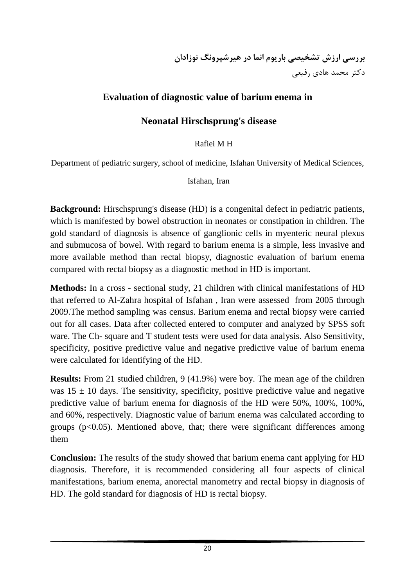## **Evaluation of diagnostic value of barium enema in**

## **Neonatal Hirschsprung's disease**

Rafiei M H

Department of pediatric surgery, school of medicine, Isfahan University of Medical Sciences,

Isfahan, Iran

**Background:** Hirschsprung's disease (HD) is a congenital defect in pediatric patients, which is manifested by bowel obstruction in neonates or constipation in children. The gold standard of diagnosis is absence of ganglionic cells in myenteric neural plexus and submucosa of bowel. With regard to barium enema is a simple, less invasive and more available method than rectal biopsy, diagnostic evaluation of barium enema compared with rectal biopsy as a diagnostic method in HD is important.

**Methods:** In a cross - sectional study, 21 children with clinical manifestations of HD that referred to Al-Zahra hospital of Isfahan , Iran were assessed from 2005 through 2009.The method sampling was census. Barium enema and rectal biopsy were carried out for all cases. Data after collected entered to computer and analyzed by SPSS soft ware. The Ch- square and T student tests were used for data analysis. Also Sensitivity, specificity, positive predictive value and negative predictive value of barium enema were calculated for identifying of the HD.

**Results:** From 21 studied children, 9 (41.9%) were boy. The mean age of the children was  $15 \pm 10$  days. The sensitivity, specificity, positive predictive value and negative predictive value of barium enema for diagnosis of the HD were 50%, 100%, 100%, and 60%, respectively. Diagnostic value of barium enema was calculated according to groups ( $p<0.05$ ). Mentioned above, that; there were significant differences among them

**Conclusion:** The results of the study showed that barium enema cant applying for HD diagnosis. Therefore, it is recommended considering all four aspects of clinical manifestations, barium enema, anorectal manometry and rectal biopsy in diagnosis of HD. The gold standard for diagnosis of HD is rectal biopsy.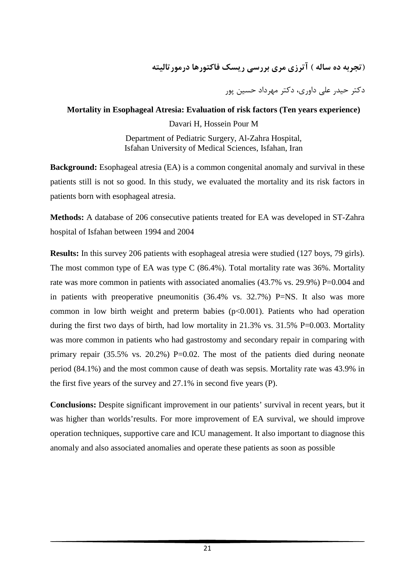## **(تجربه ده ساله ) آترزي مري بررسي ريسك فاكتورها درمورتاليته**

دكتر حيدر علي داوري، دكتر مهرداد حسين پور

#### **Mortality in Esophageal Atresia: Evaluation of risk factors (Ten years experience)**

Davari H, Hossein Pour M

Department of Pediatric Surgery, Al-Zahra Hospital, Isfahan University of Medical Sciences, Isfahan, Iran

**Background:** Esophageal atresia (EA) is a common congenital anomaly and survival in these patients still is not so good. In this study, we evaluated the mortality and its risk factors in patients born with esophageal atresia.

**Methods:** A database of 206 consecutive patients treated for EA was developed in ST-Zahra hospital of Isfahan between 1994 and 2004

**Results:** In this survey 206 patients with esophageal atresia were studied (127 boys, 79 girls). The most common type of EA was type C (86.4%). Total mortality rate was 36%. Mortality rate was more common in patients with associated anomalies (43.7% vs. 29.9%) P=0.004 and in patients with preoperative pneumonitis (36.4% vs. 32.7%) P=NS. It also was more common in low birth weight and preterm babies  $(p<0.001)$ . Patients who had operation during the first two days of birth, had low mortality in  $21.3\%$  vs.  $31.5\%$  P=0.003. Mortality was more common in patients who had gastrostomy and secondary repair in comparing with primary repair  $(35.5\%$  vs. 20.2%) P=0.02. The most of the patients died during neonate period (84.1%) and the most common cause of death was sepsis. Mortality rate was 43.9% in the first five years of the survey and 27.1% in second five years (P).

**Conclusions:** Despite significant improvement in our patients' survival in recent years, but it was higher than worlds'results. For more improvement of EA survival, we should improve operation techniques, supportive care and ICU management. It also important to diagnose this anomaly and also associated anomalies and operate these patients as soon as possible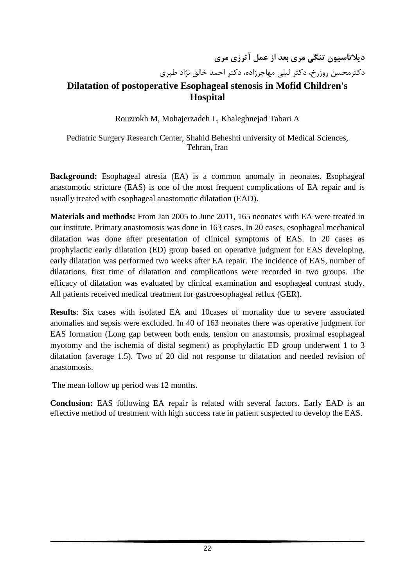**ديلاتاسيون تنگي مري بعد از عمل آترزي مري** دكترمحسن روزرخ، دكتر ليلي مهاجرزاده، دكتر احمد خالق نژاد طبري

## **Dilatation of postoperative Esophageal stenosis in Mofid Children's Hospital**

Rouzrokh M, Mohajerzadeh L, Khaleghnejad Tabari A

Pediatric Surgery Research Center, Shahid Beheshti university of Medical Sciences, Tehran, Iran

**Background:** Esophageal atresia (EA) is a common anomaly in neonates. Esophageal anastomotic stricture (EAS) is one of the most frequent complications of EA repair and is usually treated with esophageal anastomotic dilatation (EAD).

**Materials and methods:** From Jan 2005 to June 2011, 165 neonates with EA were treated in our institute. Primary anastomosis was done in 163 cases. In 20 cases, esophageal mechanical dilatation was done after presentation of clinical symptoms of EAS. In 20 cases as prophylactic early dilatation (ED) group based on operative judgment for EAS developing, early dilatation was performed two weeks after EA repair. The incidence of EAS, number of dilatations, first time of dilatation and complications were recorded in two groups. The efficacy of dilatation was evaluated by clinical examination and esophageal contrast study. All patients received medical treatment for gastroesophageal reflux (GER).

**Results**: Six cases with isolated EA and 10cases of mortality due to severe associated anomalies and sepsis were excluded. In 40 of 163 neonates there was operative judgment for EAS formation (Long gap between both ends, tension on anastomsis, proximal esophageal myotomy and the ischemia of distal segment) as prophylactic ED group underwent 1 to 3 dilatation (average 1.5). Two of 20 did not response to dilatation and needed revision of anastomosis.

The mean follow up period was 12 months.

**Conclusion:** EAS following EA repair is related with several factors. Early EAD is an effective method of treatment with high success rate in patient suspected to develop the EAS.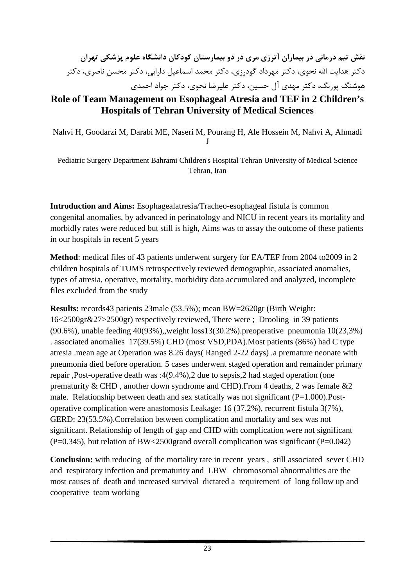# **نقش تيم درماني در بيماران آترزي مري در دو بيمارستان كودكان دانشگاه علوم پزشكي تهران** دكتر هدايت االله نحوي، دكتر مهرداد گودرزي، دكتر محمد اسماعيل دارابي، دكتر محسن ناصري، دكتر هوشنگ پورنگ، دكتر مهدي آل حسين، دكتر عليرضا نحوي، دكتر جواد احمدي

## **Role of Team Management on Esophageal Atresia and TEF in 2 Children's Hospitals of Tehran University of Medical Sciences**

Nahvi H, Goodarzi M, Darabi ME, Naseri M, Pourang H, Ale Hossein M, Nahvi A, Ahmadi J

Pediatric Surgery Department Bahrami Children's Hospital Tehran University of Medical Science Tehran, Iran

**Introduction and Aims:** Esophagealatresia/Tracheo-esophageal fistula is common congenital anomalies, by advanced in perinatology and NICU in recent years its mortality and morbidly rates were reduced but still is high, Aims was to assay the outcome of these patients in our hospitals in recent 5 years

**Method**: medical files of 43 patients underwent surgery for EA/TEF from 2004 to2009 in 2 children hospitals of TUMS retrospectively reviewed demographic, associated anomalies, types of atresia, operative, mortality, morbidity data accumulated and analyzed, incomplete files excluded from the study

**Results:** records43 patients 23male (53.5%); mean BW=2620gr (Birth Weight: 16<2500gr&27>2500gr) respectively reviewed, There were ; Drooling in 39 patients (90.6%), unable feeding 40(93%),,weight loss13(30.2%).preoperative pneumonia 10(23,3%) . associated anomalies 17(39.5%) CHD (most VSD,PDA).Most patients (86%) had C type atresia .mean age at Operation was 8.26 days( Ranged 2-22 days) .a premature neonate with pneumonia died before operation. 5 cases underwent staged operation and remainder primary repair ,Post-operative death was :4(9.4%),2 due to sepsis,2 had staged operation (one prematurity  $&$  CHD, another down syndrome and CHD). From 4 deaths, 2 was female  $&$  2 male. Relationship between death and sex statically was not significant  $(P=1.000)$ . Postoperative complication were anastomosis Leakage: 16 (37.2%), recurrent fistula 3(7%), GERD: 23(53.5%).Correlation between complication and mortality and sex was not significant. Relationship of length of gap and CHD with complication were not significant  $(P=0.345)$ , but relation of BW<2500grand overall complication was significant (P=0.042)

**Conclusion:** with reducing of the mortality rate in recent years , still associated sever CHD and respiratory infection and prematurity and LBW chromosomal abnormalities are the most causes of death and increased survival dictated a requirement of long follow up and cooperative team working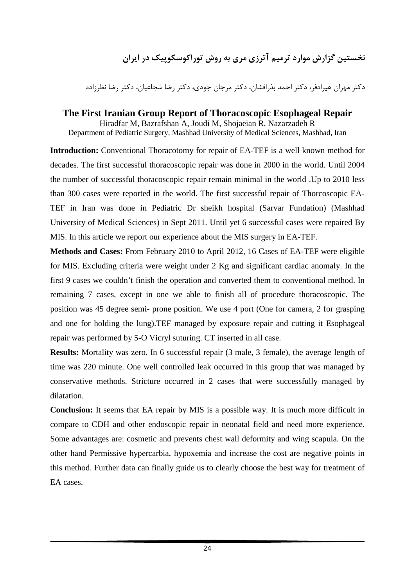# **نخستين گزارش موارد ترميم آترزي مري به روش توراكوسكوپيك در ايران**

دكتر مهران هيرادفر، دكتر احمد بذرافشان، دكتر مرجان جودي، دكتر رضا شجاعيان، دكتر رضا نظرزاده

## **The First Iranian Group Report of Thoracoscopic Esophageal Repair** Hiradfar M, Bazrafshan A, Joudi M, Shojaeian R, Nazarzadeh R

Department of Pediatric Surgery, Mashhad University of Medical Sciences, Mashhad, Iran

**Introduction:** Conventional Thoracotomy for repair of EA-TEF is a well known method for decades. The first successful thoracoscopic repair was done in 2000 in the world. Until 2004 the number of successful thoracoscopic repair remain minimal in the world .Up to 2010 less than 300 cases were reported in the world. The first successful repair of Thorcoscopic EA-TEF in Iran was done in Pediatric Dr sheikh hospital (Sarvar Fundation) (Mashhad University of Medical Sciences) in Sept 2011. Until yet 6 successful cases were repaired By MIS. In this article we report our experience about the MIS surgery in EA-TEF.

**Methods and Cases:** From February 2010 to April 2012, 16 Cases of EA-TEF were eligible for MIS. Excluding criteria were weight under 2 Kg and significant cardiac anomaly. In the first 9 cases we couldn't finish the operation and converted them to conventional method. In remaining 7 cases, except in one we able to finish all of procedure thoracoscopic. The position was 45 degree semi- prone position. We use 4 port (One for camera, 2 for grasping and one for holding the lung).TEF managed by exposure repair and cutting it Esophageal repair was performed by 5-O Vicryl suturing. CT inserted in all case.

**Results:** Mortality was zero. In 6 successful repair (3 male, 3 female), the average length of time was 220 minute. One well controlled leak occurred in this group that was managed by conservative methods. Stricture occurred in 2 cases that were successfully managed by dilatation.

**Conclusion:** It seems that EA repair by MIS is a possible way. It is much more difficult in compare to CDH and other endoscopic repair in neonatal field and need more experience. Some advantages are: cosmetic and prevents chest wall deformity and wing scapula. On the other hand Permissive hypercarbia, hypoxemia and increase the cost are negative points in this method. Further data can finally guide us to clearly choose the best way for treatment of EA cases.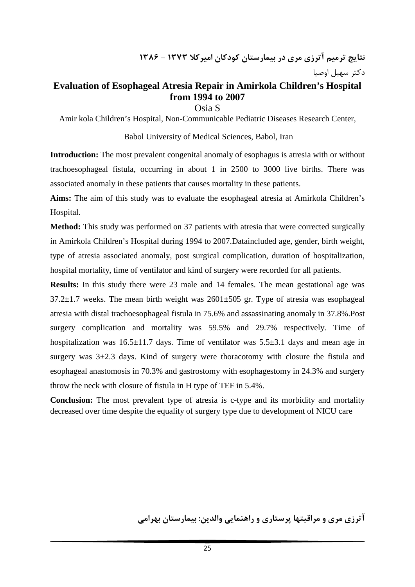## **Evaluation of Esophageal Atresia Repair in Amirkola Children's Hospital from 1994 to 2007**

Osia S

Amir kola Children's Hospital, Non-Communicable Pediatric Diseases Research Center,

#### Babol University of Medical Sciences, Babol, Iran

**Introduction:** The most prevalent congenital anomaly of esophagus is atresia with or without trachoesophageal fistula, occurring in about 1 in 2500 to 3000 live births. There was associated anomaly in these patients that causes mortality in these patients.

**Aims:** The aim of this study was to evaluate the esophageal atresia at Amirkola Children's Hospital.

**Method:** This study was performed on 37 patients with atresia that were corrected surgically in Amirkola Children's Hospital during 1994 to 2007.Dataincluded age, gender, birth weight, type of atresia associated anomaly, post surgical complication, duration of hospitalization, hospital mortality, time of ventilator and kind of surgery were recorded for all patients.

**Results:** In this study there were 23 male and 14 females. The mean gestational age was  $37.2 \pm 1.7$  weeks. The mean birth weight was  $2601 \pm 505$  gr. Type of atresia was esophageal atresia with distal trachoesophageal fistula in 75.6% and assassinating anomaly in 37.8%.Post surgery complication and mortality was 59.5% and 29.7% respectively. Time of hospitalization was  $16.5\pm11.7$  days. Time of ventilator was  $5.5\pm3.1$  days and mean age in surgery was  $3\pm 2.3$  days. Kind of surgery were thoracotomy with closure the fistula and esophageal anastomosis in 70.3% and gastrostomy with esophagestomy in 24.3% and surgery throw the neck with closure of fistula in H type of TEF in 5.4%.

**Conclusion:** The most prevalent type of atresia is c-type and its morbidity and mortality decreased over time despite the equality of surgery type due to development of NICU care

**آترزي مري و مراقبتها پرستاري و راهنمايي والدين: بيمارستان بهرامي**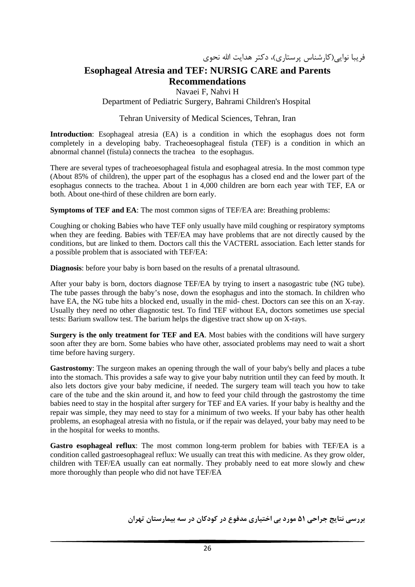### **Esophageal Atresia and TEF: NURSIG CARE and Parents Recommendations**

Navaei F, Nahvi H

#### Department of Pediatric Surgery, Bahrami Children's Hospital

#### Tehran University of Medical Sciences, Tehran, Iran

**Introduction**: Esophageal atresia (EA) is a condition in which the esophagus does not form completely in a developing baby. Tracheoesophageal fistula (TEF) is a condition in which an abnormal channel (fistula) connects the trachea to the esophagus.

There are several types of tracheoesophageal fistula and esophageal atresia. In the most common type (About 85% of children), the upper part of the esophagus has a closed end and the lower part of the esophagus connects to the trachea. About 1 in 4,000 children are born each year with TEF, EA or both. About one-third of these children are born early.

**Symptoms of TEF and EA**: The most common signs of TEF/EA are: Breathing problems:

Coughing or choking Babies who have TEF only usually have mild coughing or respiratory symptoms when they are feeding. Babies with TEF/EA may have problems that are not directly caused by the conditions, but are linked to them. Doctors call this the VACTERL association. Each letter stands for a possible problem that is associated with TEF/EA:

**Diagnosis**: before your baby is born based on the results of a prenatal ultrasound.

After your baby is born, doctors diagnose TEF/EA by trying to insert a nasogastric tube (NG tube). The tube passes through the baby's nose, down the esophagus and into the stomach. In children who have EA, the NG tube hits a blocked end, usually in the mid- chest. Doctors can see this on an X-ray. Usually they need no other diagnostic test. To find TEF without EA, doctors sometimes use special tests: Barium swallow test. The barium helps the digestive tract show up on X-rays.

**Surgery is the only treatment for TEF and EA**. Most babies with the conditions will have surgery soon after they are born. Some babies who have other, associated problems may need to wait a short time before having surgery.

**Gastrostomy**: The surgeon makes an opening through the wall of your baby's belly and places a tube into the stomach. This provides a safe way to give your baby nutrition until they can feed by mouth. It also lets doctors give your baby medicine, if needed. The surgery team will teach you how to take care of the tube and the skin around it, and how to feed your child through the gastrostomy the time babies need to stay in the hospital after surgery for TEF and EA varies. If your baby is healthy and the repair was simple, they may need to stay for a minimum of two weeks. If your baby has other health problems, an esophageal atresia with no fistula, or if the repair was delayed, your baby may need to be in the hospital for weeks to months.

**Gastro esophageal reflux**: The most common long-term problem for babies with TEF/EA is a condition called gastroesophageal reflux: We usually can treat this with medicine. As they grow older, children with TEF/EA usually can eat normally. They probably need to eat more slowly and chew more thoroughly than people who did not have TEF/EA

**بررسي نتايج جراحي 51 مورد بي اختياري مدفوع در كودكان در سه بيمارستان تهران**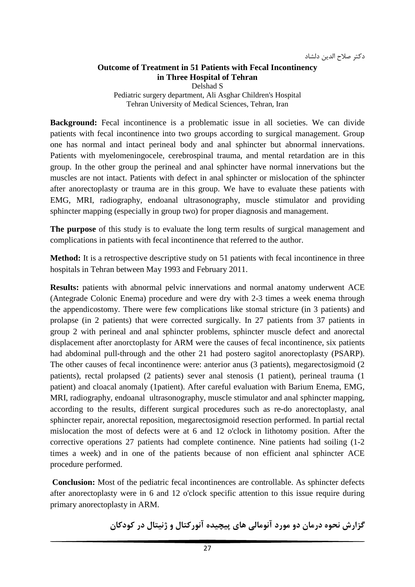### **Outcome of Treatment in 51 Patients with Fecal Incontinency in Three Hospital of Tehran**

Delshad S

Pediatric surgery department, Ali Asghar Children's Hospital Tehran University of Medical Sciences, Tehran, Iran

**Background:** Fecal incontinence is a problematic issue in all societies. We can divide patients with fecal incontinence into two groups according to surgical management. Group one has normal and intact perineal body and anal sphincter but abnormal innervations. Patients with myelomeningocele, cerebrospinal trauma, and mental retardation are in this group. In the other group the perineal and anal sphincter have normal innervations but the muscles are not intact. Patients with defect in anal sphincter or mislocation of the sphincter after anorectoplasty or trauma are in this group. We have to evaluate these patients with EMG, MRI, radiography, endoanal ultrasonography, muscle stimulator and providing sphincter mapping (especially in group two) for proper diagnosis and management.

**The purpose** of this study is to evaluate the long term results of surgical management and complications in patients with fecal incontinence that referred to the author.

**Method:** It is a retrospective descriptive study on 51 patients with fecal incontinence in three hospitals in Tehran between May 1993 and February 2011.

**Results:** patients with abnormal pelvic innervations and normal anatomy underwent ACE (Antegrade Colonic Enema) procedure and were dry with 2-3 times a week enema through the appendicostomy. There were few complications like stomal stricture (in 3 patients) and prolapse (in 2 patients) that were corrected surgically. In 27 patients from 37 patients in group 2 with perineal and anal sphincter problems, sphincter muscle defect and anorectal displacement after anorctoplasty for ARM were the causes of fecal incontinence, six patients had abdominal pull-through and the other 21 had postero sagitol anorectoplasty (PSARP). The other causes of fecal incontinence were: anterior anus (3 patients), megarectosigmoid (2 patients), rectal prolapsed (2 patients) sever anal stenosis (1 patient), perineal trauma (1 patient) and cloacal anomaly (1patient). After careful evaluation with Barium Enema, EMG, MRI, radiography, endoanal ultrasonography, muscle stimulator and anal sphincter mapping, according to the results, different surgical procedures such as re-do anorectoplasty, anal sphincter repair, anorectal reposition, megarectosigmoid resection performed. In partial rectal mislocation the most of defects were at 6 and 12 o'clock in lithotomy position. After the corrective operations 27 patients had complete continence. Nine patients had soiling (1-2 times a week) and in one of the patients because of non efficient anal sphincter ACE procedure performed.

**Conclusion:** Most of the pediatric fecal incontinences are controllable. As sphincter defects after anorectoplasty were in 6 and 12 o'clock specific attention to this issue require during primary anorectoplasty in ARM.

**گزارش نحوه درمان دو مورد آنومالي هاي پيچيده آنوركتال و ژنيتال در كودكان**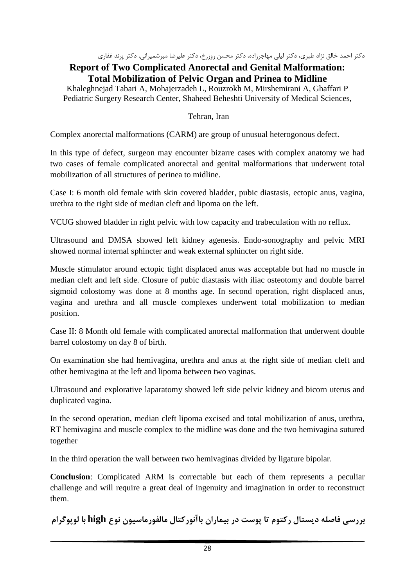دكتر احمد خالق نژاد طبري، دكتر ليلي مهاجرزاده، دكتر محسن روزرخ، دكتر عليرضا ميرشميراني، دكتر پرند غفاري

#### **Report of Two Complicated Anorectal and Genital Malformation: Total Mobilization of Pelvic Organ and Prinea to Midline**

Khaleghnejad Tabari A, Mohajerzadeh L, Rouzrokh M, Mirshemirani A, Ghaffari P Pediatric Surgery Research Center, Shaheed Beheshti University of Medical Sciences,

### Tehran, Iran

Complex anorectal malformations (CARM) are group of unusual heterogonous defect.

In this type of defect, surgeon may encounter bizarre cases with complex anatomy we had two cases of female complicated anorectal and genital malformations that underwent total mobilization of all structures of perinea to midline.

Case I: 6 month old female with skin covered bladder, pubic diastasis, ectopic anus, vagina, urethra to the right side of median cleft and lipoma on the left.

VCUG showed bladder in right pelvic with low capacity and trabeculation with no reflux.

Ultrasound and DMSA showed left kidney agenesis. Endo-sonography and pelvic MRI showed normal internal sphincter and weak external sphincter on right side.

Muscle stimulator around ectopic tight displaced anus was acceptable but had no muscle in median cleft and left side. Closure of pubic diastasis with iliac osteotomy and double barrel sigmoid colostomy was done at 8 months age. In second operation, right displaced anus, vagina and urethra and all muscle complexes underwent total mobilization to median position.

Case II: 8 Month old female with complicated anorectal malformation that underwent double barrel colostomy on day 8 of birth.

On examination she had hemivagina, urethra and anus at the right side of median cleft and other hemivagina at the left and lipoma between two vaginas.

Ultrasound and explorative laparatomy showed left side pelvic kidney and bicorn uterus and duplicated vagina.

In the second operation, median cleft lipoma excised and total mobilization of anus, urethra, RT hemivagina and muscle complex to the midline was done and the two hemivagina sutured together

In the third operation the wall between two hemivaginas divided by ligature bipolar.

**Conclusion**: Complicated ARM is correctable but each of them represents a peculiar challenge and will require a great deal of ingenuity and imagination in order to reconstruct them.

**بررسي فاصله ديستال ركتوم تا پوست در بيماران باآنوركتال مالفورماسيون نوع high با لوپوگرام**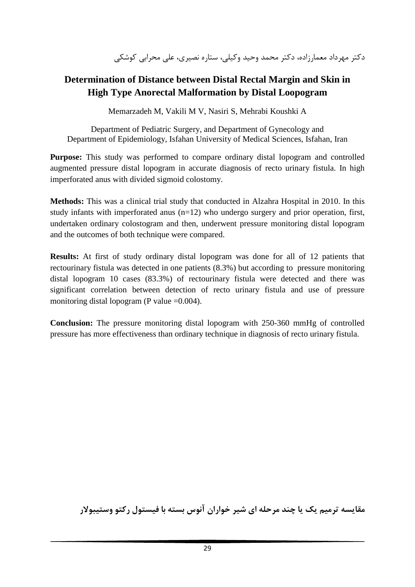دكتر مهرداد معمارزاده، دكتر محمد وحيد وكيلي، ستاره نصيري، علي محرابي كوشكي

## **Determination of Distance between Distal Rectal Margin and Skin in High Type Anorectal Malformation by Distal Loopogram**

Memarzadeh M, Vakili M V, Nasiri S, Mehrabi Koushki A

Department of Pediatric Surgery, and Department of Gynecology and Department of Epidemiology, Isfahan University of Medical Sciences, Isfahan, Iran

**Purpose:** This study was performed to compare ordinary distal lopogram and controlled augmented pressure distal lopogram in accurate diagnosis of recto urinary fistula. In high imperforated anus with divided sigmoid colostomy.

**Methods:** This was a clinical trial study that conducted in Alzahra Hospital in 2010. In this study infants with imperforated anus (n=12) who undergo surgery and prior operation, first, undertaken ordinary colostogram and then, underwent pressure monitoring distal lopogram and the outcomes of both technique were compared.

**Results:** At first of study ordinary distal lopogram was done for all of 12 patients that rectourinary fistula was detected in one patients (8.3%) but according to pressure monitoring distal lopogram 10 cases (83.3%) of rectourinary fistula were detected and there was significant correlation between detection of recto urinary fistula and use of pressure monitoring distal lopogram (P value  $=0.004$ ).

**Conclusion:** The pressure monitoring distal lopogram with 250-360 mmHg of controlled pressure has more effectiveness than ordinary technique in diagnosis of recto urinary fistula.

**مقايسه ترميم يك يا چند مرحله اي شير خواران آنوس بسته با فيستول ركتو وستيبولار**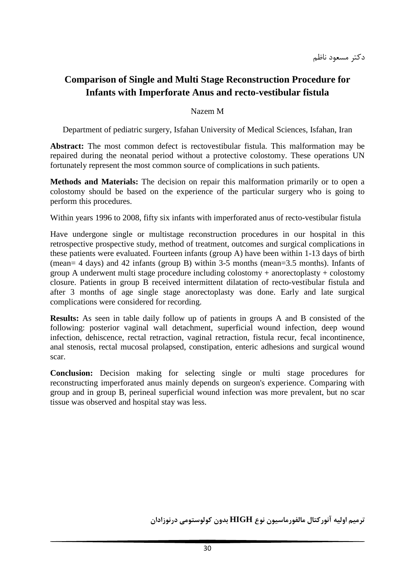دكتر مسعود ناظم

## **Comparison of Single and Multi Stage Reconstruction Procedure for Infants with Imperforate Anus and recto-vestibular fistula**

#### Nazem M

Department of pediatric surgery, Isfahan University of Medical Sciences, Isfahan, Iran

**Abstract:** The most common defect is rectovestibular fistula. This malformation may be repaired during the neonatal period without a protective colostomy. These operations UN fortunately represent the most common source of complications in such patients.

**Methods and Materials:** The decision on repair this malformation primarily or to open a colostomy should be based on the experience of the particular surgery who is going to perform this procedures.

Within years 1996 to 2008, fifty six infants with imperforated anus of recto-vestibular fistula

Have undergone single or multistage reconstruction procedures in our hospital in this retrospective prospective study, method of treatment, outcomes and surgical complications in these patients were evaluated. Fourteen infants (group A) have been within 1-13 days of birth (mean= 4 days) and 42 infants (group B) within 3-5 months (mean=3.5 months). Infants of group A underwent multi stage procedure including colostomy + anorectoplasty + colostomy closure. Patients in group B received intermittent dilatation of recto-vestibular fistula and after 3 months of age single stage anorectoplasty was done. Early and late surgical complications were considered for recording.

**Results:** As seen in table daily follow up of patients in groups A and B consisted of the following: posterior vaginal wall detachment, superficial wound infection, deep wound infection, dehiscence, rectal retraction, vaginal retraction, fistula recur, fecal incontinence, anal stenosis, rectal mucosal prolapsed, constipation, enteric adhesions and surgical wound scar.

**Conclusion:** Decision making for selecting single or multi stage procedures for reconstructing imperforated anus mainly depends on surgeon's experience. Comparing with group and in group B, perineal superficial wound infection was more prevalent, but no scar tissue was observed and hospital stay was less.

**ترميم اوليه آنوركتال مالفورماسيون نوع HIGH بدون كولوستومي درنوزادان**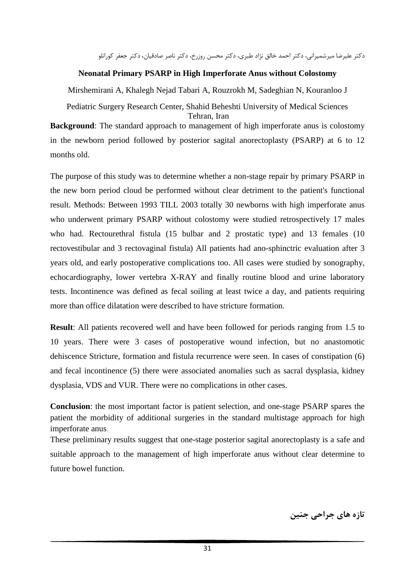دكتر عليرضا ميرشميراني، دكتر احمد خالق نژاد طبري، دكتر محسن روزرخ، دكتر ناصر صادقيان، دكتر جعفر كورانلو

### **Neonatal Primary PSARP in High Imperforate Anus without Colostomy**

Mirshemirani A, Khalegh Nejad Tabari A, Rouzrokh M, Sadeghian N, Kouranloo J

Pediatric Surgery Research Center, Shahid Beheshti University of Medical Sciences Tehran, Iran

**Background**: The standard approach to management of high imperforate anus is colostomy in the newborn period followed by posterior sagital anorectoplasty (PSARP) at 6 to 12 months old.

The purpose of this study was to determine whether a non-stage repair by primary PSARP in the new born period cloud be performed without clear detriment to the patient's functional result. Methods: Between 1993 TILL 2003 totally 30 newborns with high imperforate anus who underwent primary PSARP without colostomy were studied retrospectively 17 males who had. Rectourethral fistula (15 bulbar and 2 prostatic type) and 13 females (10 rectovestibular and 3 rectovaginal fistula) All patients had ano-sphinctric evaluation after 3 years old, and early postoperative complications too. All cases were studied by sonography, echocardiography, lower vertebra X-RAY and finally routine blood and urine laboratory tests. Incontinence was defined as fecal soiling at least twice a day, and patients requiring more than office dilatation were described to have stricture formation.

**Result**: All patients recovered well and have been followed for periods ranging from 1.5 to 10 years. There were 3 cases of postoperative wound infection, but no anastomotic dehiscence Stricture, formation and fistula recurrence were seen. In cases of constipation (6) and fecal incontinence (5) there were associated anomalies such as sacral dysplasia, kidney dysplasia, VDS and VUR. There were no complications in other cases.

**Conclusion**: the most important factor is patient selection, and one-stage PSARP spares the patient the morbidity of additional surgeries in the standard multistage approach for high imperforate anus.

These preliminary results suggest that one-stage posterior sagital anorectoplasty is a safe and suitable approach to the management of high imperforate anus without clear determine to future bowel function.

**تازه هاي جراحي جنين**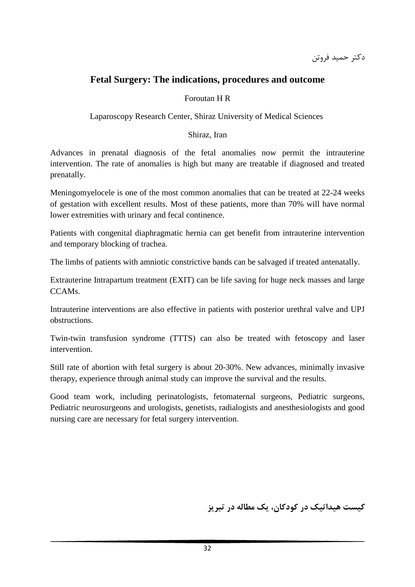دكتر حميد فروتن

## **Fetal Surgery: The indications, procedures and outcome**

#### Foroutan H R

Laparoscopy Research Center, Shiraz University of Medical Sciences

#### Shiraz, Iran

Advances in prenatal diagnosis of the fetal anomalies now permit the intrauterine intervention. The rate of anomalies is high but many are treatable if diagnosed and treated prenatally.

Meningomyelocele is one of the most common anomalies that can be treated at 22-24 weeks of gestation with excellent results. Most of these patients, more than 70% will have normal lower extremities with urinary and fecal continence.

Patients with congenital diaphragmatic hernia can get benefit from intrauterine intervention and temporary blocking of trachea.

The limbs of patients with amniotic constrictive bands can be salvaged if treated antenatally.

Extrauterine Intrapartum treatment (EXIT) can be life saving for huge neck masses and large CCAMs.

Intrauterine interventions are also effective in patients with posterior urethral valve and UPJ obstructions.

Twin-twin transfusion syndrome (TTTS) can also be treated with fetoscopy and laser intervention.

Still rate of abortion with fetal surgery is about 20-30%. New advances, minimally invasive therapy, experience through animal study can improve the survival and the results.

Good team work, including perinatologists, fetomaternal surgeons, Pediatric surgeons, Pediatric neurosurgeons and urologists, genetists, radialogists and anesthesiologists and good nursing care are necessary for fetal surgery intervention.

**كيست هيداتيك در كودكان، يك مطاله در تبريز**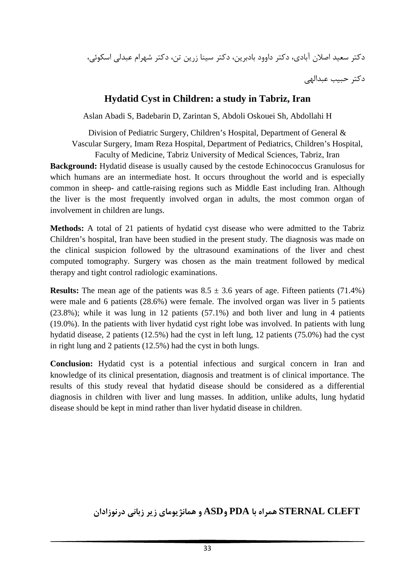دكتر سعيد اصلان آبادي، دكتر داوود بادبرين، دكتر سينا زرين تن، دكتر شهرام عبدلي اسكوئي،

دكتر حبيب عبدالهي

## **Hydatid Cyst in Children: a study in Tabriz, Iran**

Aslan Abadi S, Badebarin D, Zarintan S, Abdoli Oskouei Sh, Abdollahi H

Division of Pediatric Surgery, Children's Hospital, Department of General & Vascular Surgery, Imam Reza Hospital, Department of Pediatrics, Children's Hospital, Faculty of Medicine, Tabriz University of Medical Sciences, Tabriz, Iran

**Background:** Hydatid disease is usually caused by the cestode Echinococcus Granulosus for which humans are an intermediate host. It occurs throughout the world and is especially common in sheep- and cattle-raising regions such as Middle East including Iran. Although the liver is the most frequently involved organ in adults, the most common organ of involvement in children are lungs.

**Methods:** A total of 21 patients of hydatid cyst disease who were admitted to the Tabriz Children's hospital, Iran have been studied in the present study. The diagnosis was made on the clinical suspicion followed by the ultrasound examinations of the liver and chest computed tomography. Surgery was chosen as the main treatment followed by medical therapy and tight control radiologic examinations.

**Results:** The mean age of the patients was  $8.5 \pm 3.6$  years of age. Fifteen patients (71.4%) were male and 6 patients (28.6%) were female. The involved organ was liver in 5 patients (23.8%); while it was lung in 12 patients (57.1%) and both liver and lung in 4 patients (19.0%). In the patients with liver hydatid cyst right lobe was involved. In patients with lung hydatid disease, 2 patients (12.5%) had the cyst in left lung, 12 patients (75.0%) had the cyst in right lung and 2 patients (12.5%) had the cyst in both lungs.

**Conclusion:** Hydatid cyst is a potential infectious and surgical concern in Iran and knowledge of its clinical presentation, diagnosis and treatment is of clinical importance. The results of this study reveal that hydatid disease should be considered as a differential diagnosis in children with liver and lung masses. In addition, unlike adults, lung hydatid disease should be kept in mind rather than liver hydatid disease in children.

**CLEFT STERNAL همراه با PDA وASD و همانژيوماي زير زباني درنوزادان**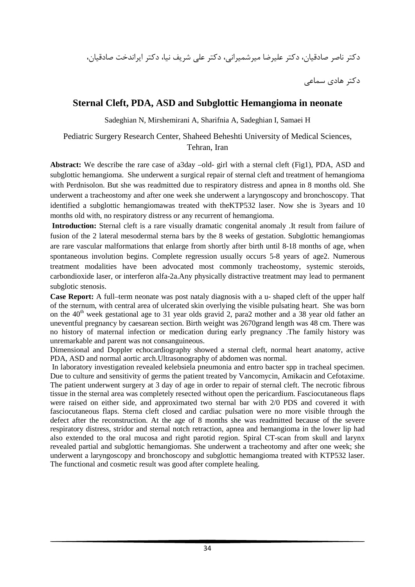دكتر ناصر صادقيان، دكتر عليرضا ميرشميراني، دكتر علي شريف نيا، دكتر ايراندخت صادقيان،

دكتر هادي سماعي

### **Sternal Cleft, PDA, ASD and Subglottic Hemangioma in neonate**

Sadeghian N, Mirshemirani A, Sharifnia A, Sadeghian I, Samaei H

### Pediatric Surgery Research Center, Shaheed Beheshti University of Medical Sciences, Tehran, Iran

**Abstract:** We describe the rare case of a3day –old- girl with a sternal cleft (Fig1), PDA, ASD and subglottic hemangioma. She underwent a surgical repair of sternal cleft and treatment of hemangioma with Perdnisolon. But she was readmitted due to respiratory distress and apnea in 8 months old. She underwent a tracheostomy and after one week she underwent a laryngoscopy and bronchoscopy. That identified a subglottic hemangiomawas treated with theKTP532 laser. Now she is 3years and 10 months old with, no respiratory distress or any recurrent of hemangioma.

**Introduction:** Sternal cleft is a rare visually dramatic congenital anomaly .It result from failure of fusion of the 2 lateral mesodermal sterna bars by the 8 weeks of gestation. Subglottic hemangiomas are rare vascular malformations that enlarge from shortly after birth until 8-18 months of age, when spontaneous involution begins. Complete regression usually occurs 5-8 years of age2. Numerous treatment modalities have been advocated most commonly tracheostomy, systemic steroids, carbondioxide laser, or interferon alfa-2a.Any physically distractive treatment may lead to permanent subglotic stenosis.

**Case Report:** A full–term neonate was post nataly diagnosis with a u- shaped cleft of the upper half of the sternum, with central area of ulcerated skin overlying the visible pulsating heart. She was born on the  $40<sup>th</sup>$  week gestational age to 31 year olds gravid 2, para2 mother and a 38 year old father an uneventful pregnancy by caesarean section. Birth weight was 2670grand length was 48 cm. There was no history of maternal infection or medication during early pregnancy .The family history was unremarkable and parent was not consanguineous.

Dimensional and Doppler echocardiography showed a sternal cleft, normal heart anatomy, active PDA, ASD and normal aortic arch.Ultrasonography of abdomen was normal.

In laboratory investigation revealed kelebsiela pneumonia and entro bacter spp in tracheal specimen. Due to culture and sensitivity of germs the patient treated by Vancomycin, Amikacin and Cefotaxime. The patient underwent surgery at 3 day of age in order to repair of sternal cleft. The necrotic fibrous tissue in the sternal area was completely resected without open the pericardium. Fasciocutaneous flaps were raised on either side, and approximated two sternal bar with 2/0 PDS and covered it with fasciocutaneous flaps. Sterna cleft closed and cardiac pulsation were no more visible through the defect after the reconstruction. At the age of 8 months she was readmitted because of the severe respiratory distress, stridor and sternal notch retraction, apnea and hemangioma in the lower lip had also extended to the oral mucosa and right parotid region. Spiral CT-scan from skull and larynx revealed partial and subglottic hemangiomas. She underwent a tracheotomy and after one week; she underwent a laryngoscopy and bronchoscopy and subglottic hemangioma treated with KTP532 laser. The functional and cosmetic result was good after complete healing.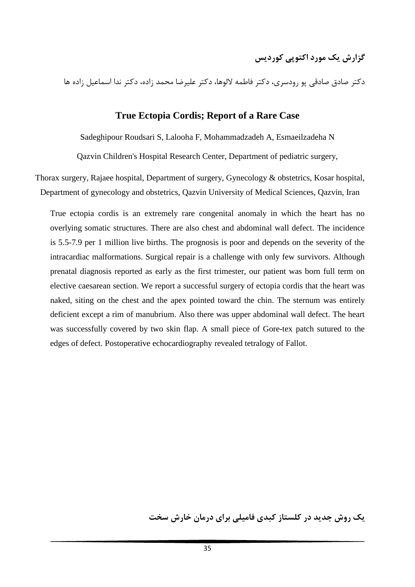دكتر صادق صادقي پو رودسري، دكتر فاطمه لالوها، دكتر عليرضا محمد زاده، دكتر ندا اسماعيل زاده ها

### **True Ectopia Cordis; Report of a Rare Case**

Sadeghipour Roudsari S, Lalooha F, Mohammadzadeh A, Esmaeilzadeha N

Qazvin Children's Hospital Research Center, Department of pediatric surgery,

Thorax surgery, Rajaee hospital, Department of surgery, Gynecology & obstetrics, Kosar hospital, Department of gynecology and obstetrics, Qazvin University of Medical Sciences, Qazvin, Iran

True ectopia cordis is an extremely rare congenital anomaly in which the heart has no overlying somatic structures. There are also chest and abdominal wall defect. The incidence is 5.5-7.9 per 1 million live births. The prognosis is poor and depends on the severity of the intracardiac malformations. Surgical repair is a challenge with only few survivors. Although prenatal diagnosis reported as early as the first trimester, our patient was born full term on elective caesarean section. We report a successful surgery of ectopia cordis that the heart was naked, siting on the chest and the apex pointed toward the chin. The sternum was entirely deficient except a rim of manubrium. Also there was upper abdominal wall defect. The heart was successfully covered by two skin flap. A small piece of Gore-tex patch sutured to the edges of defect. Postoperative echocardiography revealed tetralogy of Fallot.

**يك روش جديد در كلستاز كبدي فاميلي براي درمان خارش سخت**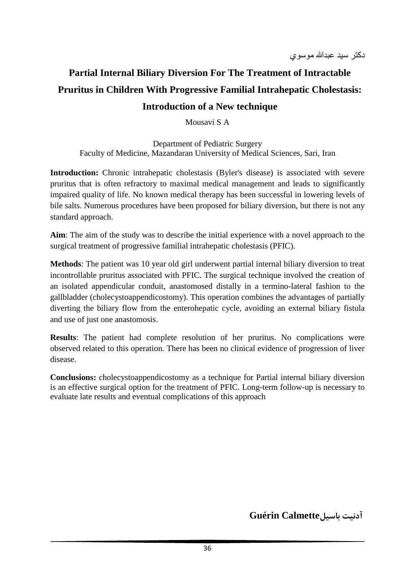# **Partial Internal Biliary Diversion For The Treatment of Intractable Pruritus in Children With Progressive Familial Intrahepatic Cholestasis: Introduction of a New technique**

Mousavi S A

Department of Pediatric Surgery Faculty of Medicine, Mazandaran University of Medical Sciences, Sari, Iran

**Introduction:** Chronic intrahepatic cholestasis (Byler's disease) is associated with severe pruritus that is often refractory to maximal medical management and leads to significantly impaired quality of life. No known medical therapy has been successful in lowering levels of bile salts. Numerous procedures have been proposed for biliary diversion, but there is not any standard approach.

**Aim**: The aim of the study was to describe the initial experience with a novel approach to the surgical treatment of progressive familial intrahepatic cholestasis (PFIC).

**Methods**: The patient was 10 year old girl underwent partial internal biliary diversion to treat incontrollable pruritus associated with PFIC. The surgical technique involved the creation of an isolated appendicular conduit, anastomosed distally in a termino-lateral fashion to the gallbladder (cholecystoappendicostomy). This operation combines the advantages of partially diverting the biliary flow from the enterohepatic cycle, avoiding an external biliary fistula and use of just one anastomosis.

**Results**: The patient had complete resolution of her pruritus. No complications were observed related to this operation. There has been no clinical evidence of progression of liver disease.

**Conclusions:** cholecystoappendicostomy as a technique for Partial internal biliary diversion is an effective surgical option for the treatment of PFIC. Long-term follow-up is necessary to evaluate late results and eventual complications of this approach

**آدنيت باسيلCalmette Guérin**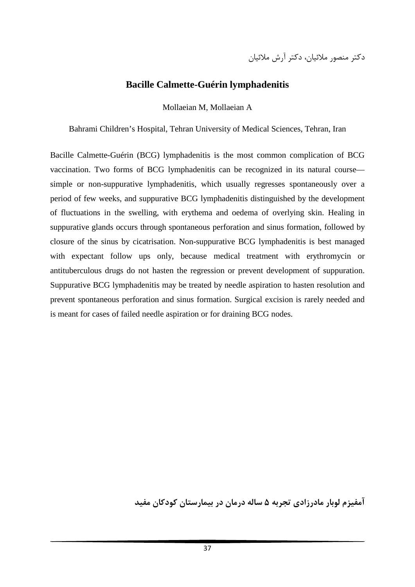## **Bacille Calmette-Guérin lymphadenitis**

Mollaeian M, Mollaeian A

Bahrami Children's Hospital, Tehran University of Medical Sciences, Tehran, Iran

Bacille Calmette-Guérin (BCG) lymphadenitis is the most common complication of BCG vaccination. Two forms of BCG lymphadenitis can be recognized in its natural course simple or non-suppurative lymphadenitis, which usually regresses spontaneously over a period of few weeks, and suppurative BCG lymphadenitis distinguished by the development of fluctuations in the swelling, with erythema and oedema of overlying skin. Healing in suppurative glands occurs through spontaneous perforation and sinus formation, followed by closure of the sinus by cicatrisation. Non-suppurative BCG lymphadenitis is best managed with expectant follow ups only, because medical treatment with erythromycin or antituberculous drugs do not hasten the regression or prevent development of suppuration. Suppurative BCG lymphadenitis may be treated by needle aspiration to hasten resolution and prevent spontaneous perforation and sinus formation. Surgical excision is rarely needed and is meant for cases of failed needle aspiration or for draining BCG nodes.

**آمفيزم لوبار مادرزادي تجربه 5 ساله درمان در بيمارستان كودكان مفيد**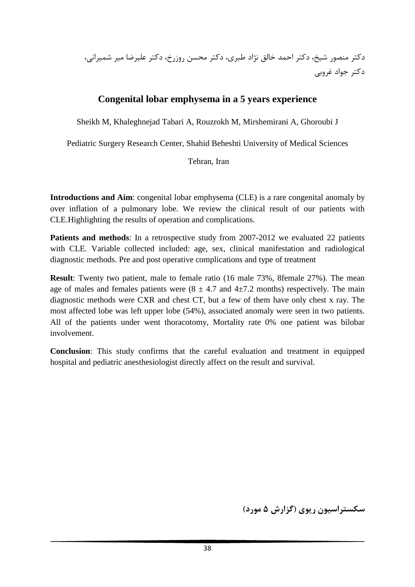## **Congenital lobar emphysema in a 5 years experience**

Sheikh M, Khaleghnejad Tabari A, Rouzrokh M, Mirshemirani A, Ghoroubi J

Pediatric Surgery Research Center, Shahid Beheshti University of Medical Sciences

#### Tehran, Iran

**Introductions and Aim**: congenital lobar emphysema (CLE) is a rare congenital anomaly by over inflation of a pulmonary lobe. We review the clinical result of our patients with CLE.Highlighting the results of operation and complications.

Patients and methods: In a retrospective study from 2007-2012 we evaluated 22 patients with CLE. Variable collected included: age, sex, clinical manifestation and radiological diagnostic methods. Pre and post operative complications and type of treatment

**Result**: Twenty two patient, male to female ratio (16 male 73%, 8female 27%). The mean age of males and females patients were  $(8 \pm 4.7 \text{ and } 4 \pm 7.2 \text{ months})$  respectively. The main diagnostic methods were CXR and chest CT, but a few of them have only chest x ray. The most affected lobe was left upper lobe (54%), associated anomaly were seen in two patients. All of the patients under went thoracotomy, Mortality rate 0% one patient was bilobar involvement.

**Conclusion**: This study confirms that the careful evaluation and treatment in equipped hospital and pediatric anesthesiologist directly affect on the result and survival.

**سكستراسيون ريوي (گزارش 5 مورد)**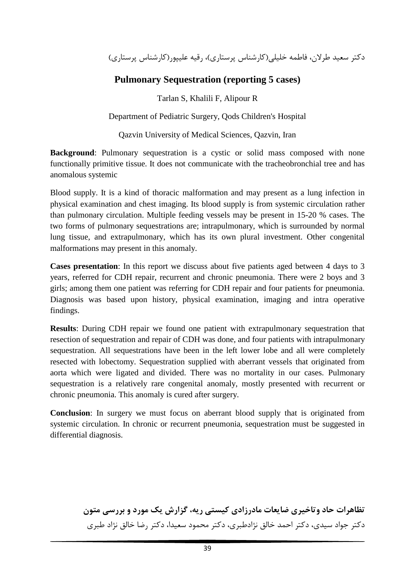دكتر سعيد طرلان، فاطمه خليلي(كارشناس پرستاري)، رقيه عليپور(كارشناس پرستاري)

## **Pulmonary Sequestration (reporting 5 cases)**

Tarlan S, Khalili F, Alipour R

Department of Pediatric Surgery, Qods Children's Hospital

Qazvin University of Medical Sciences, Qazvin, Iran

**Background**: Pulmonary sequestration is a cystic or solid mass composed with none functionally primitive tissue. It does not communicate with the tracheobronchial tree and has anomalous systemic

Blood supply. It is a kind of thoracic malformation and may present as a lung infection in physical examination and chest imaging. Its blood supply is from systemic circulation rather than pulmonary circulation. Multiple feeding vessels may be present in 15-20 % cases. The two forms of pulmonary sequestrations are; intrapulmonary, which is surrounded by normal lung tissue, and extrapulmonary, which has its own plural investment. Other congenital malformations may present in this anomaly.

**Cases presentation**: In this report we discuss about five patients aged between 4 days to 3 years, referred for CDH repair, recurrent and chronic pneumonia. There were 2 boys and 3 girls; among them one patient was referring for CDH repair and four patients for pneumonia. Diagnosis was based upon history, physical examination, imaging and intra operative findings.

**Results**: During CDH repair we found one patient with extrapulmonary sequestration that resection of sequestration and repair of CDH was done, and four patients with intrapulmonary sequestration. All sequestrations have been in the left lower lobe and all were completely resected with lobectomy. Sequestration supplied with aberrant vessels that originated from aorta which were ligated and divided. There was no mortality in our cases. Pulmonary sequestration is a relatively rare congenital anomaly, mostly presented with recurrent or chronic pneumonia. This anomaly is cured after surgery.

**Conclusion**: In surgery we must focus on aberrant blood supply that is originated from systemic circulation. In chronic or recurrent pneumonia, sequestration must be suggested in differential diagnosis.

> **تظاهرات حاد وتاخيري ضايعات مادرزادي كيستي ريه، گزارش يك مورد و بررسي متون** دكتر جواد سيدي، دكتر احمد خالق نژادطبري، دكتر محمود سعيدا، دكتر رضا خالق نژاد طبري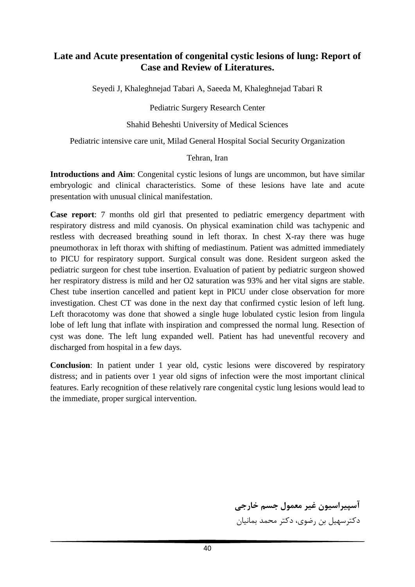## **Late and Acute presentation of congenital cystic lesions of lung: Report of Case and Review of Literatures.**

Seyedi J, Khaleghnejad Tabari A, Saeeda M, Khaleghnejad Tabari R

Pediatric Surgery Research Center

### Shahid Beheshti University of Medical Sciences

Pediatric intensive care unit, Milad General Hospital Social Security Organization

#### Tehran, Iran

**Introductions and Aim**: Congenital cystic lesions of lungs are uncommon, but have similar embryologic and clinical characteristics. Some of these lesions have late and acute presentation with unusual clinical manifestation.

**Case report**: 7 months old girl that presented to pediatric emergency department with respiratory distress and mild cyanosis. On physical examination child was tachypenic and restless with decreased breathing sound in left thorax. In chest X-ray there was huge pneumothorax in left thorax with shifting of mediastinum. Patient was admitted immediately to PICU for respiratory support. Surgical consult was done. Resident surgeon asked the pediatric surgeon for chest tube insertion. Evaluation of patient by pediatric surgeon showed her respiratory distress is mild and her O2 saturation was 93% and her vital signs are stable. Chest tube insertion cancelled and patient kept in PICU under close observation for more investigation. Chest CT was done in the next day that confirmed cystic lesion of left lung. Left thoracotomy was done that showed a single huge lobulated cystic lesion from lingula lobe of left lung that inflate with inspiration and compressed the normal lung. Resection of cyst was done. The left lung expanded well. Patient has had uneventful recovery and discharged from hospital in a few days.

**Conclusion**: In patient under 1 year old, cystic lesions were discovered by respiratory distress; and in patients over 1 year old signs of infection were the most important clinical features. Early recognition of these relatively rare congenital cystic lung lesions would lead to the immediate, proper surgical intervention.

> **آسپيراسيون غير معمول جسم خارجي** دكترسهيل بن رضوي، دكتر محمد بمانيان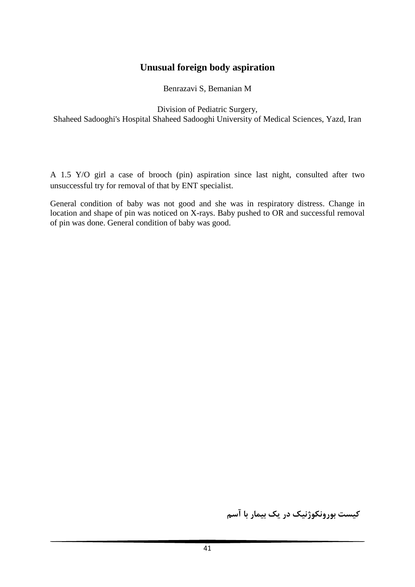## **Unusual foreign body aspiration**

Benrazavi S, Bemanian M

Division of Pediatric Surgery,

Shaheed Sadooghi's Hospital Shaheed Sadooghi University of Medical Sciences, Yazd, Iran

A 1.5 Y/O girl a case of brooch (pin) aspiration since last night, consulted after two unsuccessful try for removal of that by ENT specialist.

General condition of baby was not good and she was in respiratory distress. Change in location and shape of pin was noticed on X-rays. Baby pushed to OR and successful removal of pin was done. General condition of baby was good.

**كيست بورونكوژنيك در يك بيمار با آسم**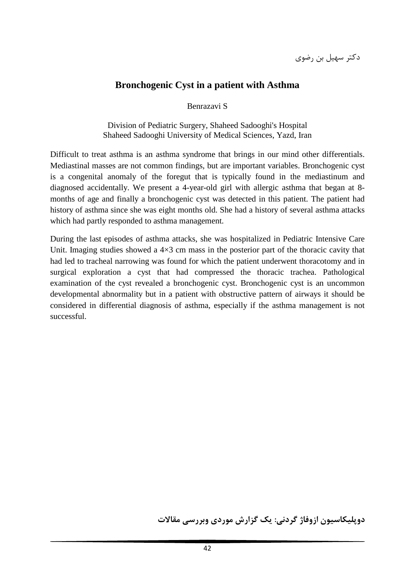دكتر سهيل بن رضوي

## **Bronchogenic Cyst in a patient with Asthma**

Benrazavi S

Division of Pediatric Surgery, Shaheed Sadooghi's Hospital Shaheed Sadooghi University of Medical Sciences, Yazd, Iran

Difficult to treat asthma is an asthma syndrome that brings in our mind other differentials. Mediastinal masses are not common findings, but are important variables. Bronchogenic cyst is a congenital anomaly of the foregut that is typically found in the mediastinum and diagnosed accidentally. We present a 4-year-old girl with allergic asthma that began at 8 months of age and finally a bronchogenic cyst was detected in this patient. The patient had history of asthma since she was eight months old. She had a history of several asthma attacks which had partly responded to asthma management.

During the last episodes of asthma attacks, she was hospitalized in Pediatric Intensive Care Unit. Imaging studies showed a  $4\times3$  cm mass in the posterior part of the thoracic cavity that had led to tracheal narrowing was found for which the patient underwent thoracotomy and in surgical exploration a cyst that had compressed the thoracic trachea. Pathological examination of the cyst revealed a bronchogenic cyst. Bronchogenic cyst is an uncommon developmental abnormality but in a patient with obstructive pattern of airways it should be considered in differential diagnosis of asthma, especially if the asthma management is not successful.

**دوپليكاسيون ازوفاژ گردني: يك گزارش موردي وبررسي مقالات**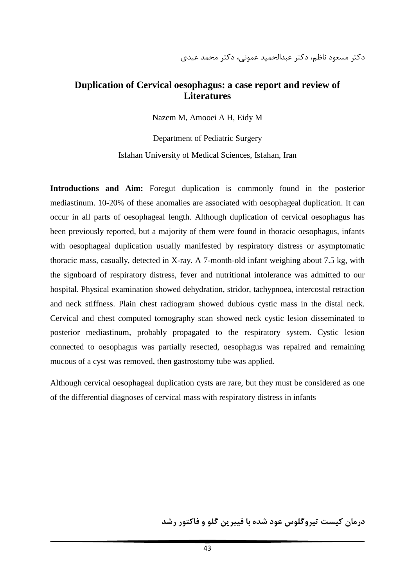دكتر مسعود ناظم، دكتر عبدالحميد عموئي، دكتر محمد عيدي

### **Duplication of Cervical oesophagus: a case report and review of Literatures**

Nazem M, Amooei A H, Eidy M

Department of Pediatric Surgery Isfahan University of Medical Sciences, Isfahan, Iran

**Introductions and Aim:** Foregut duplication is commonly found in the posterior mediastinum. 10-20% of these anomalies are associated with oesophageal duplication. It can occur in all parts of oesophageal length. Although duplication of cervical oesophagus has been previously reported, but a majority of them were found in thoracic oesophagus, infants with oesophageal duplication usually manifested by respiratory distress or asymptomatic thoracic mass, casually, detected in X-ray. A 7-month-old infant weighing about 7.5 kg, with the signboard of respiratory distress, fever and nutritional intolerance was admitted to our hospital. Physical examination showed dehydration, stridor, tachypnoea, intercostal retraction and neck stiffness. Plain chest radiogram showed dubious cystic mass in the distal neck. Cervical and chest computed tomography scan showed neck cystic lesion disseminated to posterior mediastinum, probably propagated to the respiratory system. Cystic lesion connected to oesophagus was partially resected, oesophagus was repaired and remaining mucous of a cyst was removed, then gastrostomy tube was applied.

Although cervical oesophageal duplication cysts are rare, but they must be considered as one of the differential diagnoses of cervical mass with respiratory distress in infants

**درمان كيست تيروگلوس عود شده با فيبرين گلو و فاكتور رشد**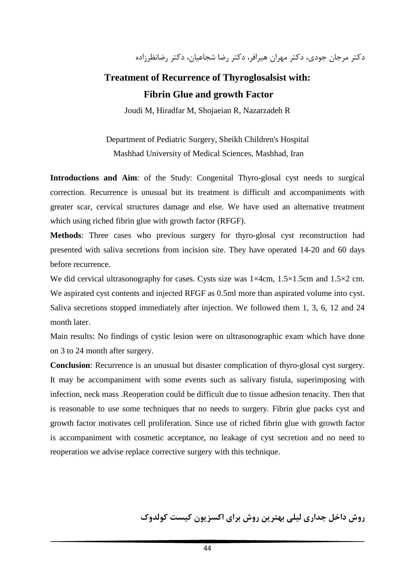دكتر مرجان جودي، دكتر مهران هيرافر، دكتر رضا شجاعيان، دكتر رضانظرزاده

# **Treatment of Recurrence of Thyroglosalsist with: Fibrin Glue and growth Factor**

Joudi M, Hiradfar M, Shojaeian R, Nazarzadeh R

Department of Pediatric Surgery, Sheikh Children's Hospital Mashhad University of Medical Sciences, Mashhad, Iran

**Introductions and Aim**: of the Study: Congenital Thyro-glosal cyst needs to surgical correction. Recurrence is unusual but its treatment is difficult and accompaniments with greater scar, cervical structures damage and else. We have used an alternative treatment which using riched fibrin glue with growth factor (RFGF).

**Methods**: Three cases who previous surgery for thyro-glosal cyst reconstruction had presented with saliva secretions from incision site. They have operated 14-20 and 60 days before recurrence.

We did cervical ultrasonography for cases. Cysts size was  $1\times4$ cm,  $1.5\times1.5$ cm and  $1.5\times2$  cm. We aspirated cyst contents and injected RFGF as 0.5ml more than aspirated volume into cyst. Saliva secretions stopped immediately after injection. We followed them 1, 3, 6, 12 and 24 month later.

Main results: No findings of cystic lesion were on ultrasonographic exam which have done on 3 to 24 month after surgery.

**Conclusion**: Recurrence is an unusual but disaster complication of thyro-glosal cyst surgery. It may be accompaniment with some events such as salivary fistula, superimposing with infection, neck mass .Reoperation could be difficult due to tissue adhesion tenacity. Then that is reasonable to use some techniques that no needs to surgery. Fibrin glue packs cyst and growth factor motivates cell proliferation. Since use of riched fibrin glue with growth factor is accompaniment with cosmetic acceptance, no leakage of cyst secretion and no need to reoperation we advise replace corrective surgery with this technique.

**روش داخل جداري ليلي بهترين روش براي اكسزيون كيست كولدوك**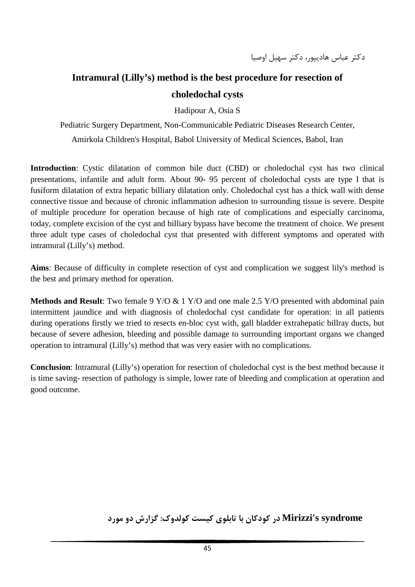# **Intramural (Lilly's) method is the best procedure for resection of choledochal cysts**

Hadipour A, Osia S

Pediatric Surgery Department, Non-Communicable Pediatric Diseases Research Center, Amirkola Children's Hospital, Babol University of Medical Sciences, Babol, Iran

**Introduction**: Cystic dilatation of common bile duct (CBD) or choledochal cyst has two clinical presentations, infantile and adult form. About 90- 95 percent of choledochal cysts are type I that is fusiform dilatation of extra hepatic billiary dilatation only. Choledochal cyst has a thick wall with dense connective tissue and because of chronic inflammation adhesion to surrounding tissue is severe. Despite of multiple procedure for operation because of high rate of complications and especially carcinoma, today, complete excision of the cyst and billiary bypass have become the treatment of choice. We present three adult type cases of choledochal cyst that presented with different symptoms and operated with intramural (Lilly's) method.

**Aims**: Because of difficulty in complete resection of cyst and complication we suggest lily's method is the best and primary method for operation.

**Methods and Result**: Two female 9 Y/O & 1 Y/O and one male 2.5 Y/O presented with abdominal pain intermittent jaundice and with diagnosis of choledochal cyst candidate for operation: in all patients during operations firstly we tried to resects en-bloc cyst with, gall bladder extrahepatic billray ducts, but because of severe adhesion, bleeding and possible damage to surrounding important organs we changed operation to intramural (Lilly's) method that was very easier with no complications.

**Conclusion**: Intramural (Lilly's) operation for resection of choledochal cyst is the best method because it is time saving- resection of pathology is simple, lower rate of bleeding and complication at operation and good outcome.

**syndrome s'Mirizzi در كودكان با تابلوي كيست كولدوك: گزارش دو مورد**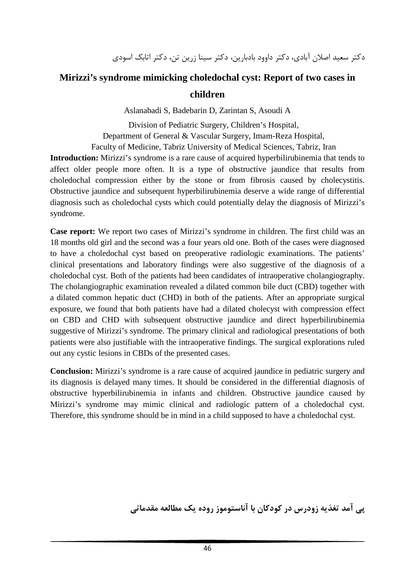# **Mirizzi's syndrome mimicking choledochal cyst: Report of two cases in children**

Aslanabadi S, Badebarin D, Zarintan S, Asoudi A

Division of Pediatric Surgery, Children's Hospital, Department of General & Vascular Surgery, Imam-Reza Hospital, Faculty of Medicine, Tabriz University of Medical Sciences, Tabriz, Iran

**Introduction:** Mirizzi's syndrome is a rare cause of acquired hyperbilirubinemia that tends to affect older people more often. It is a type of obstructive jaundice that results from choledochal compression either by the stone or from fibrosis caused by cholecystitis. Obstructive jaundice and subsequent hyperbilirubinemia deserve a wide range of differential diagnosis such as choledochal cysts which could potentially delay the diagnosis of Mirizzi's syndrome.

**Case report:** We report two cases of Mirizzi's syndrome in children. The first child was an 18 months old girl and the second was a four years old one. Both of the cases were diagnosed to have a choledochal cyst based on preoperative radiologic examinations. The patients' clinical presentations and laboratory findings were also suggestive of the diagnosis of a choledochal cyst. Both of the patients had been candidates of intraoperative cholangiography. The cholangiographic examination revealed a dilated common bile duct (CBD) together with a dilated common hepatic duct (CHD) in both of the patients. After an appropriate surgical exposure, we found that both patients have had a dilated cholecyst with compression effect on CBD and CHD with subsequent obstructive jaundice and direct hyperbilirubinemia suggestive of Mirizzi's syndrome. The primary clinical and radiological presentations of both patients were also justifiable with the intraoperative findings. The surgical explorations ruled out any cystic lesions in CBDs of the presented cases.

**Conclusion:** Mirizzi's syndrome is a rare cause of acquired jaundice in pediatric surgery and its diagnosis is delayed many times. It should be considered in the differential diagnosis of obstructive hyperbilirubinemia in infants and children. Obstructive jaundice caused by Mirizzi's syndrome may mimic clinical and radiologic pattern of a choledochal cyst. Therefore, this syndrome should be in mind in a child supposed to have a choledochal cyst.

**پي آمد تغذيه زودرس در كودكان با آناستوموز روده يك مطالعه مقدماتي**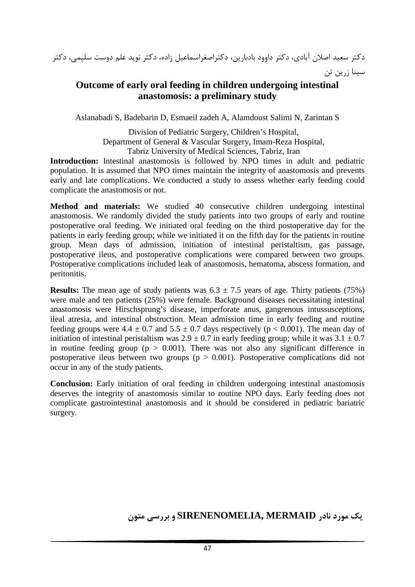دكتر سعيد اصلان آبادي، دكتر داوود بادبارين، دكتراصغراسماعيل زاده، دكتر نويد علم دوست سليمي، دكتر سينا زرين تن

## **Outcome of early oral feeding in children undergoing intestinal anastomosis: a preliminary study**

Aslanabadi S, Badebarin D, Esmaeil zadeh A, Alamdoust Salimi N, Zarintan S

Division of Pediatric Surgery, Children's Hospital, Department of General & Vascular Surgery, Imam-Reza Hospital, Tabriz University of Medical Sciences, Tabriz, Iran

**Introduction:** Intestinal anastomosis is followed by NPO times in adult and pediatric population. It is assumed that NPO times maintain the integrity of anastomosis and prevents early and late complications. We conducted a study to assess whether early feeding could complicate the anastomosis or not.

**Method and materials:** We studied 40 consecutive children undergoing intestinal anastomosis. We randomly divided the study patients into two groups of early and routine postoperative oral feeding. We initiated oral feeding on the third postoperative day for the patients in early feeding group; while we initiated it on the fifth day for the patients in routine group. Mean days of admission, initiation of intestinal peristaltism, gas passage, postoperative ileus, and postoperative complications were compared between two groups. Postoperative complications included leak of anastomosis, hematoma, abscess formation, and peritonitis.

**Results:** The mean age of study patients was  $6.3 \pm 7.5$  years of age. Thirty patients (75%) were male and ten patients (25%) were female. Background diseases necessitating intestinal anastomosis were Hirschsprung's disease, imperforate anus, gangrenous intussusceptions, ileal atresia, and intestinal obstruction. Mean admission time in early feeding and routine feeding groups were  $4.4 \pm 0.7$  and  $5.5 \pm 0.7$  days respectively ( $p < 0.001$ ). The mean day of initiation of intestinal peristaltism was  $2.9 \pm 0.7$  in early feeding group; while it was  $3.1 \pm 0.7$ in routine feeding group ( $p > 0.001$ ). There was not also any significant difference in postoperative ileus between two groups ( $p > 0.001$ ). Postoperative complications did not occur in any of the study patients.

**Conclusion:** Early initiation of oral feeding in children undergoing intestinal anastomosis deserves the integrity of anastomosis similar to routine NPO days. Early feeding does not complicate gastrointestinal anastomosis and it should be considered in pediatric bariatric surgery.

**يك مورد نادر MERMAID ,SIRENENOMELIA و بررسي متون**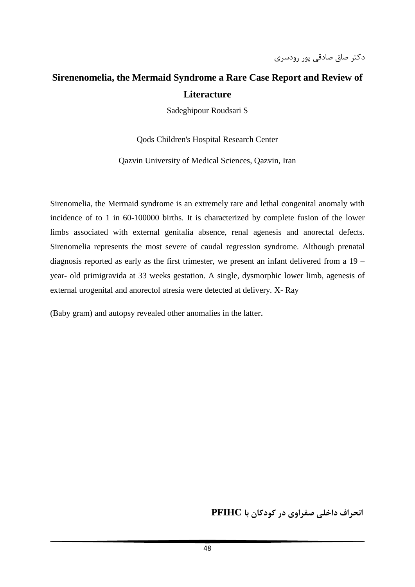# **Sirenenomelia, the Mermaid Syndrome a Rare Case Report and Review of Literacture**

Sadeghipour Roudsari S

Qods Children's Hospital Research Center

Qazvin University of Medical Sciences, Qazvin, Iran

Sirenomelia, the Mermaid syndrome is an extremely rare and lethal congenital anomaly with incidence of to 1 in 60-100000 births. It is characterized by complete fusion of the lower limbs associated with external genitalia absence, renal agenesis and anorectal defects. Sirenomelia represents the most severe of caudal regression syndrome. Although prenatal diagnosis reported as early as the first trimester, we present an infant delivered from a 19 – year- old primigravida at 33 weeks gestation. A single, dysmorphic lower limb, agenesis of external urogenital and anorectol atresia were detected at delivery. X- Ray

(Baby gram) and autopsy revealed other anomalies in the latter.

**انحراف داخلي صفراوي در كودكان با PFIHC**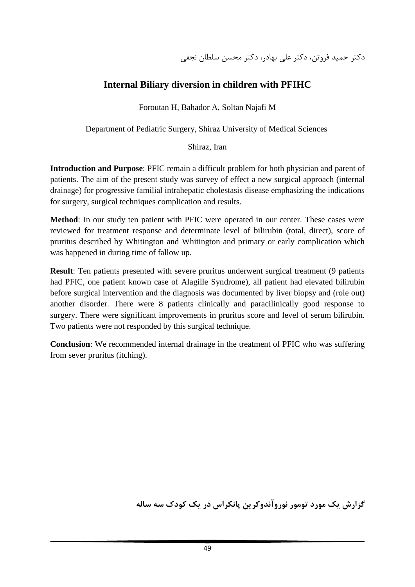## **Internal Biliary diversion in children with PFIHC**

Foroutan H, Bahador A, Soltan Najafi M

Department of Pediatric Surgery, Shiraz University of Medical Sciences

### Shiraz, Iran

**Introduction and Purpose**: PFIC remain a difficult problem for both physician and parent of patients. The aim of the present study was survey of effect a new surgical approach (internal drainage) for progressive familial intrahepatic cholestasis disease emphasizing the indications for surgery, surgical techniques complication and results.

**Method**: In our study ten patient with PFIC were operated in our center. These cases were reviewed for treatment response and determinate level of bilirubin (total, direct), score of pruritus described by Whitington and Whitington and primary or early complication which was happened in during time of fallow up.

**Result:** Ten patients presented with severe pruritus underwent surgical treatment (9 patients had PFIC, one patient known case of Alagille Syndrome), all patient had elevated bilirubin before surgical intervention and the diagnosis was documented by liver biopsy and (role out) another disorder. There were 8 patients clinically and paracilinically good response to surgery. There were significant improvements in pruritus score and level of serum bilirubin. Two patients were not responded by this surgical technique.

**Conclusion**: We recommended internal drainage in the treatment of PFIC who was suffering from sever pruritus (itching).

**گزارش يك مورد تومور نوروآندوكرين پانكراس در يك كودك سه ساله**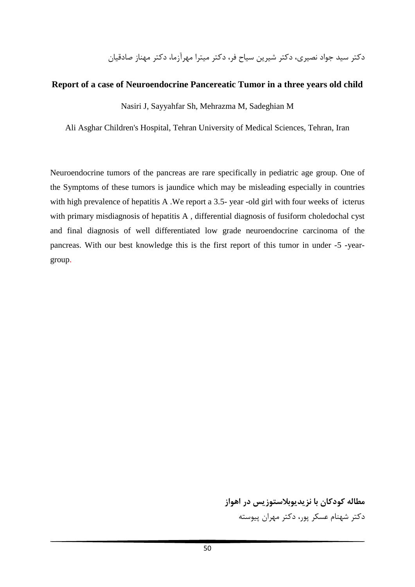دكتر سيد جواد نصيري، دكتر شيرين سياح فر، دكتر ميترا مهرآزما، دكتر مهناز صادقيان

#### **Report of a case of Neuroendocrine Pancereatic Tumor in a three years old child**

Nasiri J, Sayyahfar Sh, Mehrazma M, Sadeghian M

Ali Asghar Children's Hospital, Tehran University of Medical Sciences, Tehran, Iran

Neuroendocrine tumors of the pancreas are rare specifically in pediatric age group. One of the Symptoms of these tumors is jaundice which may be misleading especially in countries with high prevalence of hepatitis A. We report a 3.5- year -old girl with four weeks of icterus with primary misdiagnosis of hepatitis A , differential diagnosis of fusiform choledochal cyst and final diagnosis of well differentiated low grade neuroendocrine carcinoma of the pancreas. With our best knowledge this is the first report of this tumor in under -5 -yeargroup.

> **مطاله كودكان با نزيديوبلاستوزيس در اهواز** دكتر شهنام عسكر پور، دكتر مهران پيوسته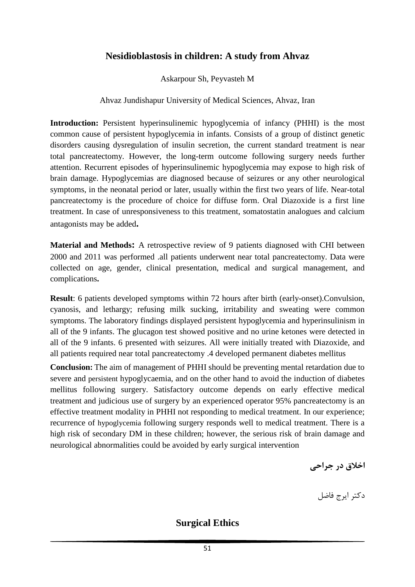## **Nesidioblastosis in children: A study from Ahvaz**

Askarpour Sh, Peyvasteh M

Ahvaz Jundishapur University of Medical Sciences, Ahvaz, Iran

**Introduction:** Persistent hyperinsulinemic hypoglycemia of infancy (PHHI) is the most common cause of persistent hypoglycemia in infants. Consists of a group of distinct genetic disorders causing dysregulation of insulin secretion, the current standard treatment is near total pancreatectomy. However, the long-term outcome following surgery needs further attention. Recurrent episodes of hyperinsulinemic hypoglycemia may expose to high risk of brain damage. Hypoglycemias are diagnosed because of seizures or any other neurological symptoms, in the neonatal period or later, usually within the first two years of life. Near-total pancreatectomy is the procedure of choice for diffuse form. Oral Diazoxide is a first line treatment. In case of unresponsiveness to this treatment, somatostatin analogues and calcium antagonists may be added**.**

**Material and Methods:** A retrospective review of 9 patients diagnosed with CHI between 2000 and 2011 was performed .all patients underwent near total pancreatectomy. Data were collected on age, gender, clinical presentation, medical and surgical management, and complications**.**

**Result**: 6 patients developed symptoms within 72 hours after birth (early-onset).Convulsion, cyanosis, and lethargy; refusing milk sucking, irritability and sweating were common symptoms. The laboratory findings displayed persistent hypoglycemia and hyperinsulinism in all of the 9 infants. The glucagon test showed positive and no urine ketones were detected in all of the 9 infants. 6 presented with seizures. All were initially treated with Diazoxide, and all patients required near total pancreatectomy .4 developed permanent diabetes mellitus

**Conclusion:** The aim of management of PHHI should be preventing mental retardation due to severe and persistent hypoglycaemia, and on the other hand to avoid the induction of diabetes mellitus following surgery. Satisfactory outcome depends on early effective medical treatment and judicious use of surgery by an experienced operator 95% pancreatectomy is an effective treatment modality in PHHI not responding to medical treatment. In our experience; recurrence of hypoglycemia following surgery responds well to medical treatment. There is a high risk of secondary DM in these children; however, the serious risk of brain damage and neurological abnormalities could be avoided by early surgical intervention

**اخلاق در جراحي**

دكتر ايرج فاضل

**Surgical Ethics**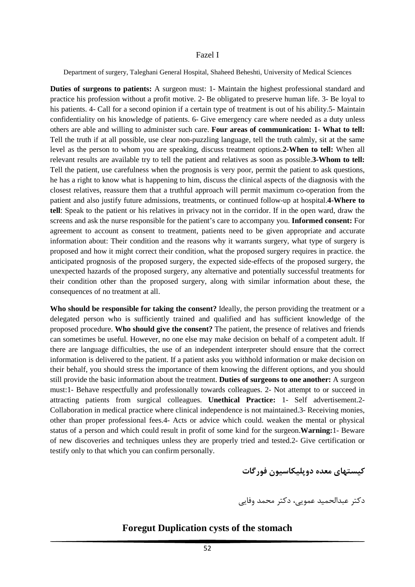#### Fazel I

Department of surgery, Taleghani General Hospital, Shaheed Beheshti, University of Medical Sciences

**Duties of surgeons to patients:** A surgeon must: 1- Maintain the highest professional standard and practice his profession without a profit motive. 2- Be obligated to preserve human life. 3- Be loyal to his patients. 4- Call for a second opinion if a certain type of treatment is out of his ability.5- Maintain confidentiality on his knowledge of patients. 6- Give emergency care where needed as a duty unless others are able and willing to administer such care. **Four areas of communication: 1- What to tell:**  Tell the truth if at all possible, use clear non-puzzling language, tell the truth calmly, sit at the same level as the person to whom you are speaking, discuss treatment options.**2-When to tell:** When all relevant results are available try to tell the patient and relatives as soon as possible.**3-Whom to tell:**  Tell the patient, use carefulness when the prognosis is very poor, permit the patient to ask questions, he has a right to know what is happening to him, discuss the clinical aspects of the diagnosis with the closest relatives, reassure them that a truthful approach will permit maximum co-operation from the patient and also justify future admissions, treatments, or continued follow-up at hospital.**4-Where to tell**: Speak to the patient or his relatives in privacy not in the corridor. If in the open ward, draw the screens and ask the nurse responsible for the patient's care to accompany you. **Informed consent:** For agreement to account as consent to treatment, patients need to be given appropriate and accurate information about: Their condition and the reasons why it warrants surgery, what type of surgery is proposed and how it might correct their condition, what the proposed surgery requires in practice. the anticipated prognosis of the proposed surgery, the expected side-effects of the proposed surgery, the unexpected hazards of the proposed surgery, any alternative and potentially successful treatments for their condition other than the proposed surgery, along with similar information about these, the consequences of no treatment at all.

**Who should be responsible for taking the consent?** Ideally, the person providing the treatment or a delegated person who is sufficiently trained and qualified and has sufficient knowledge of the proposed procedure. **Who should give the consent?** The patient, the presence of relatives and friends can sometimes be useful. However, no one else may make decision on behalf of a competent adult. If there are language difficulties, the use of an independent interpreter should ensure that the correct information is delivered to the patient. If a patient asks you withhold information or make decision on their behalf, you should stress the importance of them knowing the different options, and you should still provide the basic information about the treatment. **Duties of surgeons to one another:** A surgeon must:1- Behave respectfully and professionally towards colleagues. 2- Not attempt to or succeed in attracting patients from surgical colleagues. **Unethical Practice:** 1- Self advertisement.2- Collaboration in medical practice where clinical independence is not maintained.3- Receiving monies, other than proper professional fees.4- Acts or advice which could. weaken the mental or physical status of a person and which could result in profit of some kind for the surgeon.**Warning:**1- Beware of new discoveries and techniques unless they are properly tried and tested.2- Give certification or testify only to that which you can confirm personally.

**كيستهاي معده دوپليكاسيون فورگات**

دكتر عبدالحميد عمويي، دكتر محمد وفايي

#### **Foregut Duplication cysts of the stomach**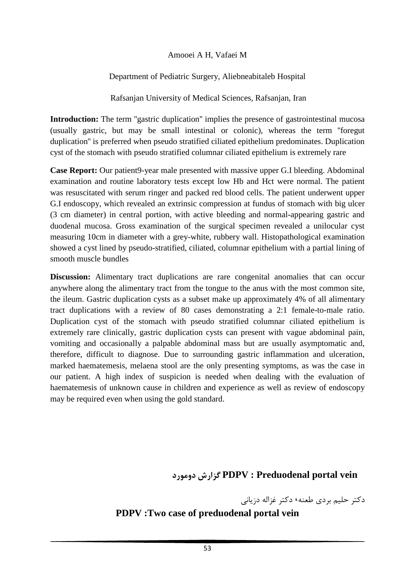### Amooei A H, Vafaei M

### Department of Pediatric Surgery, Aliebneabitaleb Hospital

Rafsanjan University of Medical Sciences, Rafsanjan, Iran

**Introduction:** The term "gastric duplication" implies the presence of gastrointestinal mucosa (usually gastric, but may be small intestinal or colonic), whereas the term ''foregut duplication'' is preferred when pseudo stratified ciliated epithelium predominates. Duplication cyst of the stomach with pseudo stratified columnar ciliated epithelium is extremely rare

**Case Report:** Our patient9-year male presented with massive upper G.I bleeding. Abdominal examination and routine laboratory tests except low Hb and Hct were normal. The patient was resuscitated with serum ringer and packed red blood cells. The patient underwent upper G.I endoscopy, which revealed an extrinsic compression at fundus of stomach with big ulcer (3 cm diameter) in central portion, with active bleeding and normal-appearing gastric and duodenal mucosa. Gross examination of the surgical specimen revealed a unilocular cyst measuring 10cm in diameter with a grey-white, rubbery wall. Histopathological examination showed a cyst lined by pseudo-stratified, ciliated, columnar epithelium with a partial lining of smooth muscle bundles

**Discussion:** Alimentary tract duplications are rare congenital anomalies that can occur anywhere along the alimentary tract from the tongue to the anus with the most common site, the ileum. Gastric duplication cysts as a subset make up approximately 4% of all alimentary tract duplications with a review of 80 cases demonstrating a 2:1 female-to-male ratio. Duplication cyst of the stomach with pseudo stratified columnar ciliated epithelium is extremely rare clinically, gastric duplication cysts can present with vague abdominal pain, vomiting and occasionally a palpable abdominal mass but are usually asymptomatic and, therefore, difficult to diagnose. Due to surrounding gastric inflammation and ulceration, marked haematemesis, melaena stool are the only presenting symptoms, as was the case in our patient. A high index of suspicion is needed when dealing with the evaluation of haematemesis of unknown cause in children and experience as well as review of endoscopy may be required even when using the gold standard.

# **دومورد گزارش PDPV : Preduodenal portal vein**

دكتر حليم بردي طعنه، دكتر غزاله دزياني

## **PDPV :Two case of preduodenal portal vein**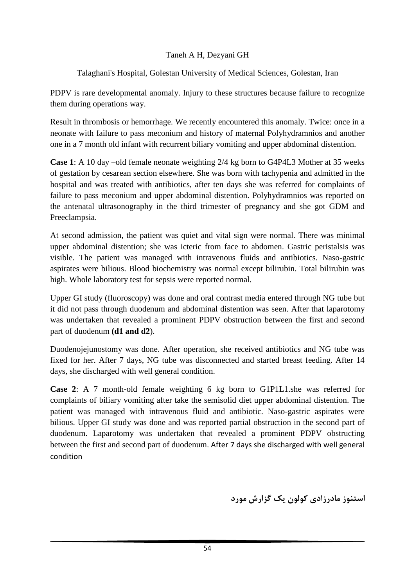### Taneh A H, Dezyani GH

### Talaghani's Hospital, Golestan University of Medical Sciences, Golestan, Iran

PDPV is rare developmental anomaly. Injury to these structures because failure to recognize them during operations way.

Result in thrombosis or hemorrhage. We recently encountered this anomaly. Twice: once in a neonate with failure to pass meconium and history of maternal Polyhydramnios and another one in a 7 month old infant with recurrent biliary vomiting and upper abdominal distention.

**Case 1**: A 10 day –old female neonate weighting 2/4 kg born to G4P4L3 Mother at 35 weeks of gestation by cesarean section elsewhere. She was born with tachypenia and admitted in the hospital and was treated with antibiotics, after ten days she was referred for complaints of failure to pass meconium and upper abdominal distention. Polyhydramnios was reported on the antenatal ultrasonography in the third trimester of pregnancy and she got GDM and Preeclampsia.

At second admission, the patient was quiet and vital sign were normal. There was minimal upper abdominal distention; she was icteric from face to abdomen. Gastric peristalsis was visible. The patient was managed with intravenous fluids and antibiotics. Naso-gastric aspirates were bilious. Blood biochemistry was normal except bilirubin. Total bilirubin was high. Whole laboratory test for sepsis were reported normal.

Upper GI study (fluoroscopy) was done and oral contrast media entered through NG tube but it did not pass through duodenum and abdominal distention was seen. After that laparotomy was undertaken that revealed a prominent PDPV obstruction between the first and second part of duodenum **(d1 and d2**).

Duodenojejunostomy was done. After operation, she received antibiotics and NG tube was fixed for her. After 7 days, NG tube was disconnected and started breast feeding. After 14 days, she discharged with well general condition.

**Case 2**: A 7 month-old female weighting 6 kg born to G1P1L1.she was referred for complaints of biliary vomiting after take the semisolid diet upper abdominal distention. The patient was managed with intravenous fluid and antibiotic. Naso-gastric aspirates were bilious. Upper GI study was done and was reported partial obstruction in the second part of duodenum. Laparotomy was undertaken that revealed a prominent PDPV obstructing between the first and second part of duodenum. After 7 days she discharged with well general condition

**استنوز مادرزادي كولون يك گزارش مورد**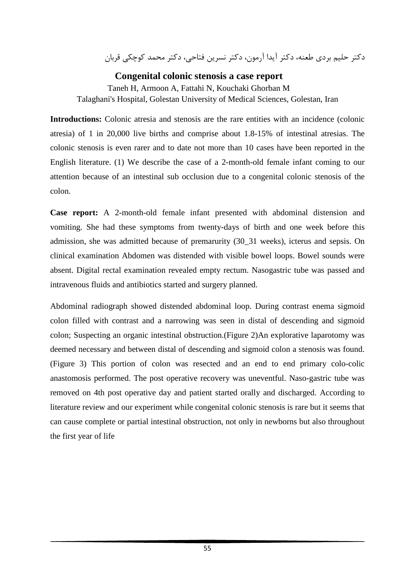دكتر حليم بردي طعنه، دكتر آيدا آرمون، دكتر نسرين فتاحي، دكتر محمد كوچكي قربان

### **Congenital colonic stenosis a case report**

Taneh H, Armoon A, Fattahi N, Kouchaki Ghorban M Talaghani's Hospital, Golestan University of Medical Sciences, Golestan, Iran

**Introductions:** Colonic atresia and stenosis are the rare entities with an incidence (colonic atresia) of 1 in 20,000 live births and comprise about 1.8-15% of intestinal atresias. The colonic stenosis is even rarer and to date not more than 10 cases have been reported in the English literature. (1) We describe the case of a 2-month-old female infant coming to our attention because of an intestinal sub occlusion due to a congenital colonic stenosis of the colon.

**Case report:** A 2-month-old female infant presented with abdominal distension and vomiting. She had these symptoms from twenty-days of birth and one week before this admission, she was admitted because of premarurity (30\_31 weeks), icterus and sepsis. On clinical examination Abdomen was distended with visible bowel loops. Bowel sounds were absent. Digital rectal examination revealed empty rectum. Nasogastric tube was passed and intravenous fluids and antibiotics started and surgery planned.

Abdominal radiograph showed distended abdominal loop. During contrast enema sigmoid colon filled with contrast and a narrowing was seen in distal of descending and sigmoid colon; Suspecting an organic intestinal obstruction.(Figure 2)An explorative laparotomy was deemed necessary and between distal of descending and sigmoid colon a stenosis was found. (Figure 3) This portion of colon was resected and an end to end primary colo-colic anastomosis performed. The post operative recovery was uneventful. Naso-gastric tube was removed on 4th post operative day and patient started orally and discharged. According to literature review and our experiment while congenital colonic stenosis is rare but it seems that can cause complete or partial intestinal obstruction, not only in newborns but also throughout the first year of life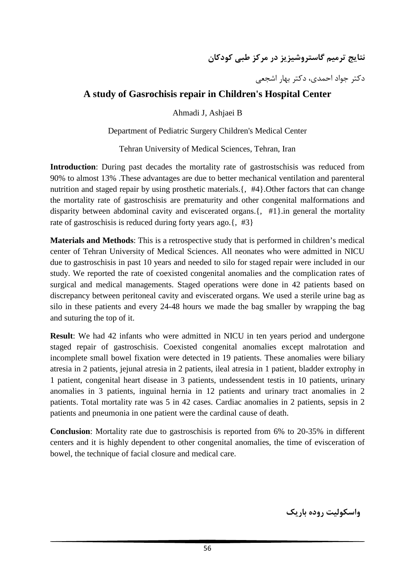**نتايج ترميم گاستروشيزيز در مركز طبي كودكان**

دكتر جواد احمدي، دكتر بهار اشجعي

## **A study of Gasrochisis repair in Children's Hospital Center**

Ahmadi J, Ashjaei B

Department of Pediatric Surgery Children's Medical Center

Tehran University of Medical Sciences, Tehran, Iran

**Introduction**: During past decades the mortality rate of gastrostschisis was reduced from 90% to almost 13% .These advantages are due to better mechanical ventilation and parenteral nutrition and staged repair by using prosthetic materials.  $\{4, 4\}$ . Other factors that can change the mortality rate of gastroschisis are prematurity and other congenital malformations and disparity between abdominal cavity and eviscerated organs.{, #1}.in general the mortality rate of gastroschisis is reduced during forty years ago.  $\{$ , #3 $\}$ 

**Materials and Methods**: This is a retrospective study that is performed in children's medical center of Tehran University of Medical Sciences. All neonates who were admitted in NICU due to gastroschisis in past 10 years and needed to silo for staged repair were included in our study. We reported the rate of coexisted congenital anomalies and the complication rates of surgical and medical managements. Staged operations were done in 42 patients based on discrepancy between peritoneal cavity and eviscerated organs. We used a sterile urine bag as silo in these patients and every 24-48 hours we made the bag smaller by wrapping the bag and suturing the top of it.

**Result**: We had 42 infants who were admitted in NICU in ten years period and undergone staged repair of gastroschisis. Coexisted congenital anomalies except malrotation and incomplete small bowel fixation were detected in 19 patients. These anomalies were biliary atresia in 2 patients, jejunal atresia in 2 patients, ileal atresia in 1 patient, bladder extrophy in 1 patient, congenital heart disease in 3 patients, undessendent testis in 10 patients, urinary anomalies in 3 patients, inguinal hernia in 12 patients and urinary tract anomalies in 2 patients. Total mortality rate was 5 in 42 cases. Cardiac anomalies in 2 patients, sepsis in 2 patients and pneumonia in one patient were the cardinal cause of death.

**Conclusion**: Mortality rate due to gastroschisis is reported from 6% to 20-35% in different centers and it is highly dependent to other congenital anomalies, the time of evisceration of bowel, the technique of facial closure and medical care.

**واسكوليت روده باريك**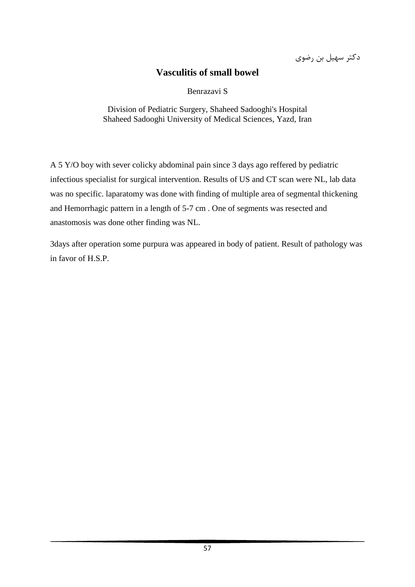دكتر سهيل بن رضوي

## **Vasculitis of small bowel**

Benrazavi S

Division of Pediatric Surgery, Shaheed Sadooghi's Hospital Shaheed Sadooghi University of Medical Sciences, Yazd, Iran

A 5 Y/O boy with sever colicky abdominal pain since 3 days ago reffered by pediatric infectious specialist for surgical intervention. Results of US and CT scan were NL, lab data was no specific. laparatomy was done with finding of multiple area of segmental thickening and Hemorrhagic pattern in a length of 5-7 cm . One of segments was resected and anastomosis was done other finding was NL.

3days after operation some purpura was appeared in body of patient. Result of pathology was in favor of H.S.P.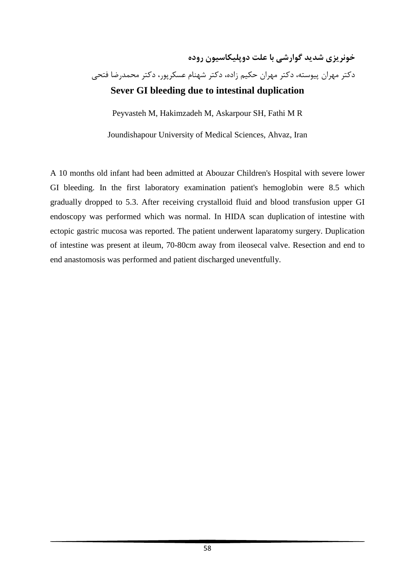# **خونريزي شديد گوارشي با علت دوپليكاسيون روده** دكتر مهران پيوسته، دكتر مهران حكيم زاده، دكتر شهنام عسكرپور، دكتر محمدرضا فتحي **Sever GI bleeding due to intestinal duplication**

Peyvasteh M, Hakimzadeh M, Askarpour SH, Fathi M R

Joundishapour University of Medical Sciences, Ahvaz, Iran

A 10 months old infant had been admitted at Abouzar Children's Hospital with severe lower GI bleeding. In the first laboratory examination patient's hemoglobin were 8.5 which gradually dropped to 5.3. After receiving crystalloid fluid and blood transfusion upper GI endoscopy was performed which was normal. In HIDA scan duplication of intestine with ectopic gastric mucosa was reported. The patient underwent laparatomy surgery. Duplication of intestine was present at ileum, 70-80cm away from ileosecal valve. Resection and end to end anastomosis was performed and patient discharged uneventfully.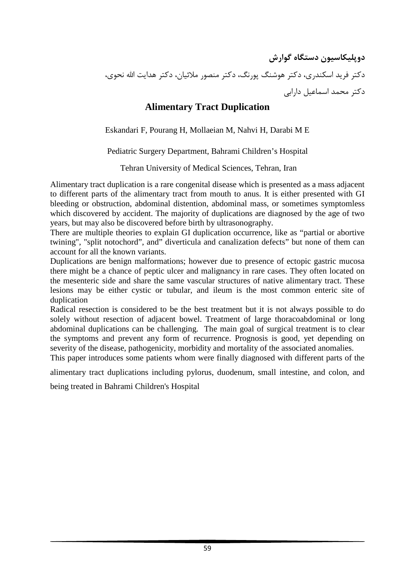**دوپليكاسيون دستگاه گوارش** دكتر فريد اسكندري، دكتر هوشنگ پورنگ، دكتر منصور ملائيان، دكتر هدايت االله نحوي، دكتر محمد اسماعيل دارابي

## **Alimentary Tract Duplication**

Eskandari F, Pourang H, Mollaeian M, Nahvi H, Darabi M E

### Pediatric Surgery Department, Bahrami Children's Hospital

Tehran University of Medical Sciences, Tehran, Iran

Alimentary tract duplication is a rare congenital disease which is presented as a mass adjacent to different parts of the alimentary tract from mouth to anus. It is either presented with GI bleeding or obstruction, abdominal distention, abdominal mass, or sometimes symptomless which discovered by accident. The majority of duplications are diagnosed by the age of two years, but may also be discovered before birth by ultrasonography.

There are multiple theories to explain GI duplication occurrence, like as "partial or abortive twining", "split notochord", and" diverticula and canalization defects" but none of them can account for all the known variants.

Duplications are benign malformations; however due to presence of ectopic gastric mucosa there might be a chance of peptic ulcer and malignancy in rare cases. They often located on the mesenteric side and share the same vascular structures of native alimentary tract. These lesions may be either cystic or tubular, and ileum is the most common enteric site of duplication

Radical resection is considered to be the best treatment but it is not always possible to do solely without resection of adjacent bowel. Treatment of large thoracoabdominal or long abdominal duplications can be challenging. The main goal of surgical treatment is to clear the symptoms and prevent any form of recurrence. Prognosis is good, yet depending on severity of the disease, pathogenicity, morbidity and mortality of the associated anomalies.

This paper introduces some patients whom were finally diagnosed with different parts of the

alimentary tract duplications including pylorus, duodenum, small intestine, and colon, and

being treated in Bahrami Children's Hospital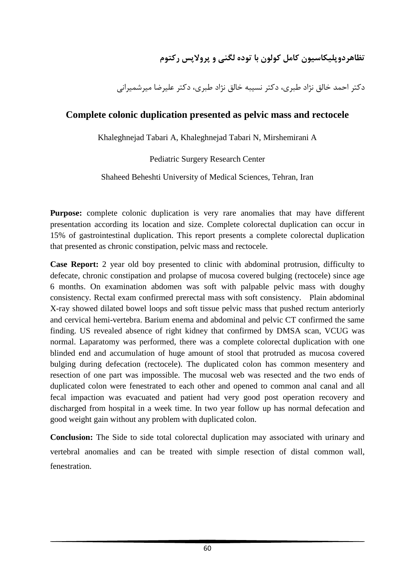# **تظاهردوپليكاسيون كامل كولون با توده لگني و پرولاپس ركتوم**

دكتر احمد خالق نژاد طبري، دكتر نسيبه خالق نژاد طبري، دكتر عليرضا ميرشميراني

## **Complete colonic duplication presented as pelvic mass and rectocele**

Khaleghnejad Tabari A, Khaleghnejad Tabari N, Mirshemirani A

Pediatric Surgery Research Center

Shaheed Beheshti University of Medical Sciences, Tehran, Iran

**Purpose:** complete colonic duplication is very rare anomalies that may have different presentation according its location and size. Complete colorectal duplication can occur in 15% of gastrointestinal duplication. This report presents a complete colorectal duplication that presented as chronic constipation, pelvic mass and rectocele.

**Case Report:** 2 year old boy presented to clinic with abdominal protrusion, difficulty to defecate, chronic constipation and prolapse of mucosa covered bulging (rectocele) since age 6 months. On examination abdomen was soft with palpable pelvic mass with doughy consistency. Rectal exam confirmed prerectal mass with soft consistency. Plain abdominal X-ray showed dilated bowel loops and soft tissue pelvic mass that pushed rectum anteriorly and cervical hemi-vertebra. Barium enema and abdominal and pelvic CT confirmed the same finding. US revealed absence of right kidney that confirmed by DMSA scan, VCUG was normal. Laparatomy was performed, there was a complete colorectal duplication with one blinded end and accumulation of huge amount of stool that protruded as mucosa covered bulging during defecation (rectocele). The duplicated colon has common mesentery and resection of one part was impossible. The mucosal web was resected and the two ends of duplicated colon were fenestrated to each other and opened to common anal canal and all fecal impaction was evacuated and patient had very good post operation recovery and discharged from hospital in a week time. In two year follow up has normal defecation and good weight gain without any problem with duplicated colon.

**Conclusion:** The Side to side total colorectal duplication may associated with urinary and vertebral anomalies and can be treated with simple resection of distal common wall, fenestration.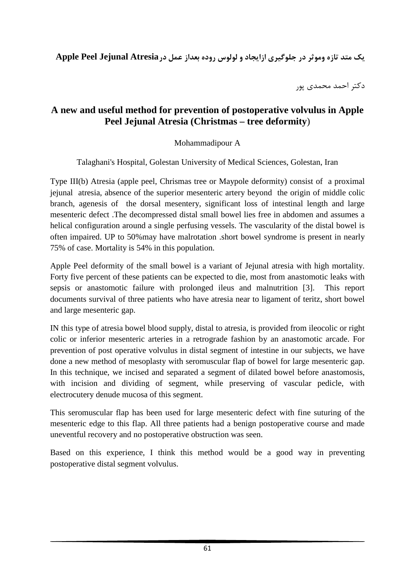**يك متد تازه وموثر در جلوگيري ازايجاد و لولوس روده بعداز عمل درAtresia Jejunal Peel Apple**

دكتر احمد محمدي پور

## **A new and useful method for prevention of postoperative volvulus in Apple Peel Jejunal Atresia (Christmas – tree deformity**)

### Mohammadipour A

Talaghani's Hospital, Golestan University of Medical Sciences, Golestan, Iran

Type III(b) Atresia (apple peel, Chrismas tree or Maypole deformity) consist of a proximal jejunal atresia, absence of the superior mesenteric artery beyond the origin of middle colic branch, agenesis of the dorsal mesentery, significant loss of intestinal length and large mesenteric defect .The decompressed distal small bowel lies free in abdomen and assumes a helical configuration around a single perfusing vessels. The vascularity of the distal bowel is often impaired. UP to 50%may have malrotation .short bowel syndrome is present in nearly 75% of case. Mortality is 54% in this population.

Apple Peel deformity of the small bowel is a variant of Jejunal atresia with high mortality. Forty five percent of these patients can be expected to die, most from anastomotic leaks with sepsis or anastomotic failure with prolonged ileus and malnutrition [3]. This report documents survival of three patients who have atresia near to ligament of teritz, short bowel and large mesenteric gap.

IN this type of atresia bowel blood supply, distal to atresia, is provided from ileocolic or right colic or inferior mesenteric arteries in a retrograde fashion by an anastomotic arcade. For prevention of post operative volvulus in distal segment of intestine in our subjects, we have done a new method of mesoplasty with seromuscular flap of bowel for large mesenteric gap. In this technique, we incised and separated a segment of dilated bowel before anastomosis, with incision and dividing of segment, while preserving of vascular pedicle, with electrocutery denude mucosa of this segment.

This seromuscular flap has been used for large mesenteric defect with fine suturing of the mesenteric edge to this flap. All three patients had a benign postoperative course and made uneventful recovery and no postoperative obstruction was seen.

Based on this experience, I think this method would be a good way in preventing postoperative distal segment volvulus.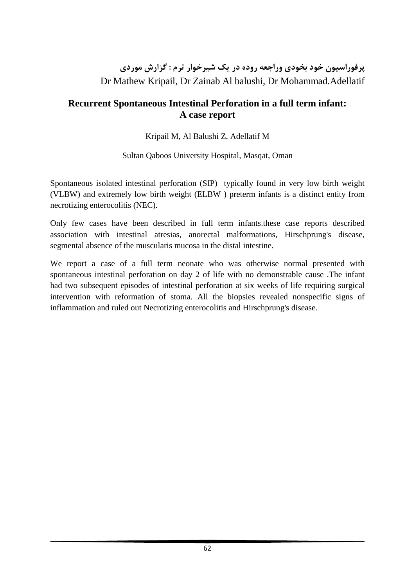# **پرفوراسيون خود بخودي وراجعه روده در يك شيرخوار ترم : گزارش موردي** Dr Mathew Kripail, Dr Zainab Al balushi, Dr Mohammad.Adellatif

## **Recurrent Spontaneous Intestinal Perforation in a full term infant: A case report**

### Kripail M, Al Balushi Z, Adellatif M

### Sultan Qaboos University Hospital, Masqat, Oman

Spontaneous isolated intestinal perforation (SIP) typically found in very low birth weight (VLBW) and extremely low birth weight (ELBW ) preterm infants is a distinct entity from necrotizing enterocolitis (NEC).

Only few cases have been described in full term infants.these case reports described association with intestinal atresias, anorectal malformations, Hirschprung's disease, segmental absence of the muscularis mucosa in the distal intestine.

We report a case of a full term neonate who was otherwise normal presented with spontaneous intestinal perforation on day 2 of life with no demonstrable cause .The infant had two subsequent episodes of intestinal perforation at six weeks of life requiring surgical intervention with reformation of stoma. All the biopsies revealed nonspecific signs of inflammation and ruled out Necrotizing enterocolitis and Hirschprung's disease.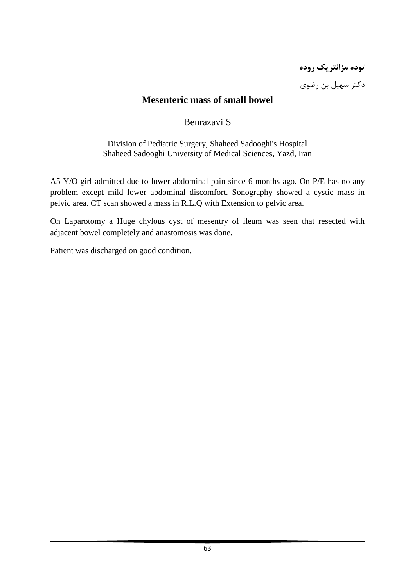**توده مزانتريك روده** دكتر سهيل بن رضوي

## **Mesenteric mass of small bowel**

### Benrazavi S

Division of Pediatric Surgery, Shaheed Sadooghi's Hospital Shaheed Sadooghi University of Medical Sciences, Yazd, Iran

A5 Y/O girl admitted due to lower abdominal pain since 6 months ago. On P/E has no any problem except mild lower abdominal discomfort. Sonography showed a cystic mass in pelvic area. CT scan showed a mass in R.L.Q with Extension to pelvic area.

On Laparotomy a Huge chylous cyst of mesentry of ileum was seen that resected with adjacent bowel completely and anastomosis was done.

Patient was discharged on good condition.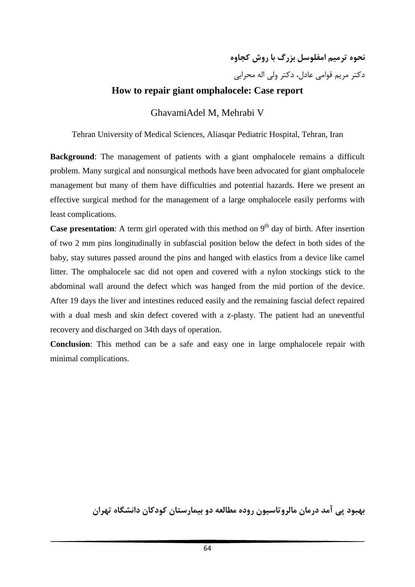**نحوه ترميم امفلوسل بزرگ با روش كجاوه** دكتر مريم قوامي عادل، دكتر ولي اله محرابي

### **How to repair giant omphalocele: Case report**

GhavamiAdel M, Mehrabi V

Tehran University of Medical Sciences, Aliasqar Pediatric Hospital, Tehran, Iran

**Background:** The management of patients with a giant omphalocele remains a difficult problem. Many surgical and nonsurgical methods have been advocated for giant omphalocele management but many of them have difficulties and potential hazards. Here we present an effective surgical method for the management of a large omphalocele easily performs with least complications.

**Case presentation**: A term girl operated with this method on 9<sup>th</sup> day of birth. After insertion of two 2 mm pins longitudinally in subfascial position below the defect in both sides of the baby, stay sutures passed around the pins and hanged with elastics from a device like camel litter. The omphalocele sac did not open and covered with a nylon stockings stick to the abdominal wall around the defect which was hanged from the mid portion of the device. After 19 days the liver and intestines reduced easily and the remaining fascial defect repaired with a dual mesh and skin defect covered with a z-plasty. The patient had an uneventful recovery and discharged on 34th days of operation.

**Conclusion**: This method can be a safe and easy one in large omphalocele repair with minimal complications.

**بهبود پي آمد درمان مالروتاسيون روده مطالعه دو بيمارستان كودكان دانشگاه تهران**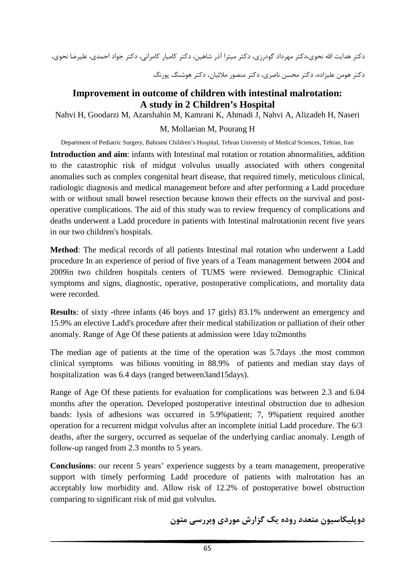دكتر هدايت االله نحوي،دكتر مهرداد گودرزي، دكتر ميترا آذر شاهين، دكتر كاميار كامراني، دكتر جواد احمدي، عليرضا نحوي،

دكتر هومن عليزاده، دكتر محسن ناصري، دكتر منصور ملائيان، دكتر هوشنگ پورنگ

### **Improvement in outcome of children with intestinal malrotation: A study in 2 Children's Hospital**

Nahvi H, Goodarzi M, Azarshahin M, Kamrani K, Ahmadi J, Nahvi A, Alizadeh H, Naseri

#### M, Mollaeian M, Pourang H

Department of Pediatric Surgery, Bahrami Children's Hospital, Tehran University of Medical Sciences, Tehran, Iran

**Introduction and aim**: infants with Intestinal mal rotation or rotation abnormalities, addition to the catastrophic risk of midgut volvulus usually associated with others congenital anomalies such as complex congenital heart disease, that required timely, meticulous clinical, radiologic diagnosis and medical management before and after performing a Ladd procedure with or without small bowel resection because known their effects on the survival and postoperative complications. The aid of this study was to review frequency of complications and deaths underwent a Ladd procedure in patients with Intestinal malrotationin recent five years in our two children's hospitals.

**Method**: The medical records of all patients Intestinal mal rotation who underwent a Ladd procedure In an experience of period of five years of a Team management between 2004 and 2009in two children hospitals centers of TUMS were reviewed. Demographic Clinical symptoms and signs, diagnostic, operative, postoperative complications, and mortality data were recorded.

**Results**: of sixty -three infants (46 boys and 17 girls) 83.1% underwent an emergency and 15.9% an elective Ladd's procedure after their medical stabilization or palliation of their other anomaly. Range of Age Of these patients at admission were 1day to2months

The median age of patients at the time of the operation was 5.7days .the most common clinical symptoms was bilious vomiting in 88.9% of patients and median stay days of hospitalization was 6.4 days (ranged between3and15days).

Range of Age Of these patients for evaluation for complications was between 2.3 and 6.04 months after the operation. Developed postoperative intestinal obstruction due to adhesion bands: lysis of adhesions was occurred in 5.9%patient; 7, 9%patient required another operation for a recurrent midgut volvulus after an incomplete initial Ladd procedure. The 6/3 deaths, after the surgery, occurred as sequelae of the underlying cardiac anomaly. Length of follow-up ranged from 2.3 months to 5 years.

**Conclusions**: our recent 5 years' experience suggests by a team management, preoperative support with timely performing Ladd procedure of patients with malrotation has an acceptably low morbidity and. Allow risk of 12.2% of postoperative bowel obstruction comparing to significant risk of mid gut volvulus.

**دوپليكاسيون متعدد روده يك گزارش موردي وبررسي متون**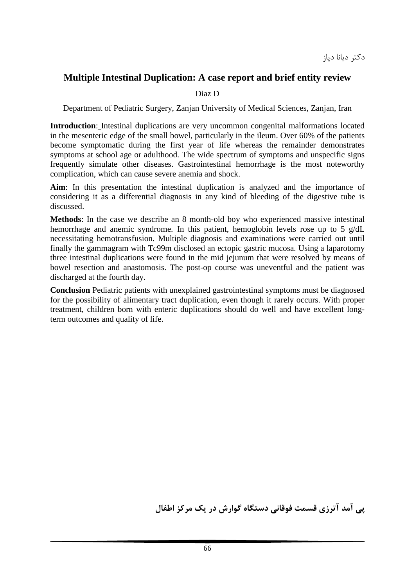## **Multiple Intestinal Duplication: A case report and brief entity review**

### Diaz D

Department of Pediatric Surgery, Zanjan University of Medical Sciences, Zanjan, Iran

**Introduction**: Intestinal duplications are very uncommon congenital malformations located in the mesenteric edge of the small bowel, particularly in the ileum. Over 60% of the patients become symptomatic during the first year of life whereas the remainder demonstrates symptoms at school age or adulthood. The wide spectrum of symptoms and unspecific signs frequently simulate other diseases. Gastrointestinal hemorrhage is the most noteworthy complication, which can cause severe anemia and shock.

**Aim**: In this presentation the intestinal duplication is analyzed and the importance of considering it as a differential diagnosis in any kind of bleeding of the digestive tube is discussed.

**Methods**: In the case we describe an 8 month-old boy who experienced massive intestinal hemorrhage and anemic syndrome. In this patient, hemoglobin levels rose up to 5 g/dL necessitating hemotransfusion. Multiple diagnosis and examinations were carried out until finally the gammagram with Tc99m disclosed an ectopic gastric mucosa. Using a laparotomy three intestinal duplications were found in the mid jejunum that were resolved by means of bowel resection and anastomosis. The post-op course was uneventful and the patient was discharged at the fourth day.

**Conclusion** Pediatric patients with unexplained gastrointestinal symptoms must be diagnosed for the possibility of alimentary tract duplication, even though it rarely occurs. With proper treatment, children born with enteric duplications should do well and have excellent longterm outcomes and quality of life.

**پي آمد آترزي قسمت فوقاني دستگاه گوارش در يك مركز اطفال**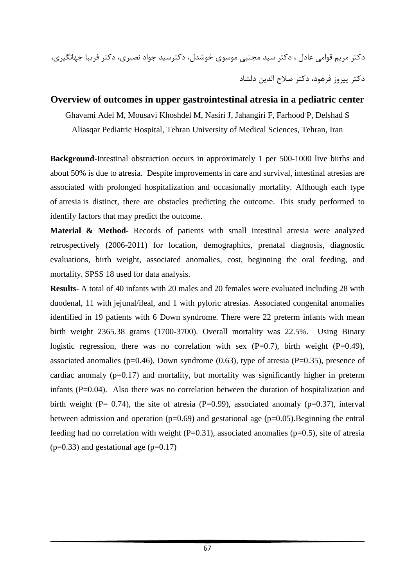دكتر مريم قوامي عادل ، دكتر سيد مجتبي موسوي خوشدل، دكترسيد جواد نصيري، دكتر فريبا جهانگيري، دكتر پيروز فرهود، دكتر صلاح الدين دلشاد

### **Overview of outcomes in upper gastrointestinal atresia in a pediatric center**

Ghavami Adel M, Mousavi Khoshdel M, Nasiri J, Jahangiri F, Farhood P, Delshad S Aliasqar Pediatric Hospital, Tehran University of Medical Sciences, Tehran, Iran

**Background**-Intestinal obstruction occurs in approximately 1 per 500-1000 live births and about 50% is due to atresia. Despite improvements in care and survival, intestinal atresias are associated with prolonged hospitalization and occasionally mortality. Although each type of atresia is distinct, there are obstacles predicting the outcome. This study performed to identify factors that may predict the outcome.

**Material & Method**- Records of patients with small intestinal atresia were analyzed retrospectively (2006-2011) for location, demographics, prenatal diagnosis, diagnostic evaluations, birth weight, associated anomalies, cost, beginning the oral feeding, and mortality. SPSS 18 used for data analysis.

**Results**- A total of 40 infants with 20 males and 20 females were evaluated including 28 with duodenal, 11 with jejunal/ileal, and 1 with pyloric atresias. Associated congenital anomalies identified in 19 patients with 6 Down syndrome. There were 22 preterm infants with mean birth weight 2365.38 grams (1700-3700). Overall mortality was 22.5%. Using Binary logistic regression, there was no correlation with sex  $(P=0.7)$ , birth weight  $(P=0.49)$ , associated anomalies ( $p=0.46$ ), Down syndrome (0.63), type of atresia ( $P=0.35$ ), presence of cardiac anomaly  $(p=0.17)$  and mortality, but mortality was significantly higher in preterm infants (P=0.04). Also there was no correlation between the duration of hospitalization and birth weight (P= 0.74), the site of atresia (P=0.99), associated anomaly ( $p=0.37$ ), interval between admission and operation ( $p=0.69$ ) and gestational age ( $p=0.05$ ). Beginning the entral feeding had no correlation with weight  $(P=0.31)$ , associated anomalies ( $p=0.5$ ), site of atresia  $(p=0.33)$  and gestational age  $(p=0.17)$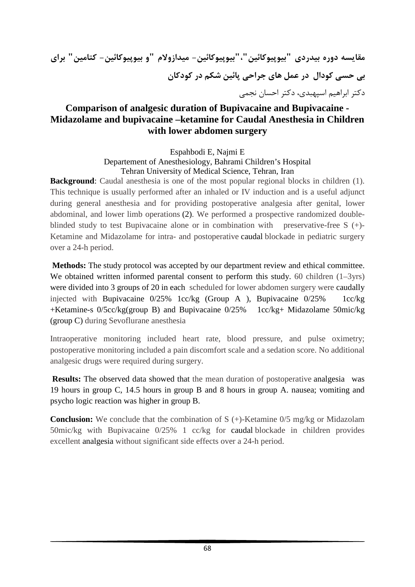**مقايسه دوره بيدردي "بيوپيوكائين"،"بيوپيوكائين- ميدازولام "و بيوپيوكائين- كتامين" براي بي حسي كودال در عمل هاي جراحي پائين شكم در كودكان** دكتر ابراهيم اسپهبدي، دكتر احسان نجمي

## **Comparison of analgesic duration of Bupivacaine and Bupivacaine - Midazolame and bupivacaine –ketamine for Caudal Anesthesia in Children with lower abdomen surgery**

Espahbodi E, Najmi E

Departement of Anesthesiology, Bahrami Children's Hospital Tehran University of Medical Science, Tehran, Iran

**Background**: Caudal anesthesia is one of the most popular regional blocks in children (1). This technique is usually performed after an inhaled or IV induction and is a useful adjunct during general anesthesia and for providing postoperative analgesia after genital, lower abdominal, and lower limb operations (2). We performed a prospective randomized doubleblinded study to test Bupivacaine alone or in combination with preservative-free S (+)- Ketamine and Midazolame for intra- and postoperative caudal blockade in pediatric surgery over a 24-h period.

**Methods:** The study protocol was accepted by our department review and ethical committee. We obtained written informed parental consent to perform this study. 60 children  $(1-3yrs)$ were divided into 3 groups of 20 in each scheduled for lower abdomen surgery were caudally injected with Bupivacaine 0/25% 1cc/kg (Group A ), Bupivacaine 0/25% 1cc/kg +Ketamine-s 0/5cc/kg(group B) and Bupivacaine 0/25% 1cc/kg+ Midazolame 50mic/kg (group C) during Sevoflurane anesthesia

Intraoperative monitoring included heart rate, blood pressure, and pulse oximetry; postoperative monitoring included a pain discomfort scale and a sedation score. No additional analgesic drugs were required during surgery.

**Results:** The observed data showed that the mean duration of postoperative analgesia was 19 hours in group C, 14.5 hours in group B and 8 hours in group A. nausea; vomiting and psycho logic reaction was higher in group B.

**Conclusion:** We conclude that the combination of S (+)-Ketamine 0/5 mg/kg or Midazolam 50mic/kg with Bupivacaine 0/25% 1 cc/kg for caudal blockade in children provides excellent analgesia without significant side effects over a 24-h period.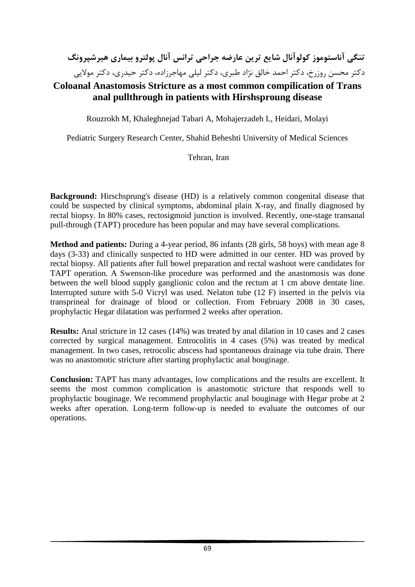# **تنگي آناستوموز كولوآنال شايع ترين عارضه جراحي ترانس آنال پولترو بيماري هيرشپرونگ** دكتر محسن روزرخ، دكتر احمد خالق نژاد طبري، دكتر ليلي مهاجرزاده، دكتر حيدري، دكتر مولايي

## **Coloanal Anastomosis Stricture as a most common compilication of Trans anal pullthrough in patients with Hirshsproung disease**

Rouzrokh M, Khaleghnejad Tabari A, Mohajerzadeh L, Heidari, Molayi

Pediatric Surgery Research Center, Shahid Beheshti University of Medical Sciences

#### Tehran, Iran

**Background:** Hirschsprung's disease (HD) is a relatively common congenital disease that could be suspected by clinical symptoms, abdominal plain X-ray, and finally diagnosed by rectal biopsy. In 80% cases, rectosigmoid junction is involved. Recently, one-stage transanal pull-through (TAPT) procedure has been popular and may have several complications.

**Method and patients:** During a 4-year period, 86 infants (28 girls, 58 boys) with mean age 8 days (3-33) and clinically suspected to HD were admitted in our center. HD was proved by rectal biopsy. All patients after full bowel preparation and rectal washout were candidates for TAPT operation. A Swenson-like procedure was performed and the anastomosis was done between the well blood supply ganglionic colon and the rectum at 1 cm above dentate line. Interrupted suture with 5-0 Vicryl was used. Nelaton tube (12 F) inserted in the pelvis via transprineal for drainage of blood or collection. From February 2008 in 30 cases, prophylactic Hegar dilatation was performed 2 weeks after operation.

**Results:** Anal stricture in 12 cases (14%) was treated by anal dilation in 10 cases and 2 cases corrected by surgical management. Entrocolitis in 4 cases (5%) was treated by medical management. In two cases, retrocolic abscess had spontaneous drainage via tube drain. There was no anastomotic stricture after starting prophylactic anal bouginage.

**Conclusion:** TAPT has many advantages, low complications and the results are excellent. It seems the most common complication is anastomotic stricture that responds well to prophylactic bouginage. We recommend prophylactic anal bouginage with Hegar probe at 2 weeks after operation. Long-term follow-up is needed to evaluate the outcomes of our operations.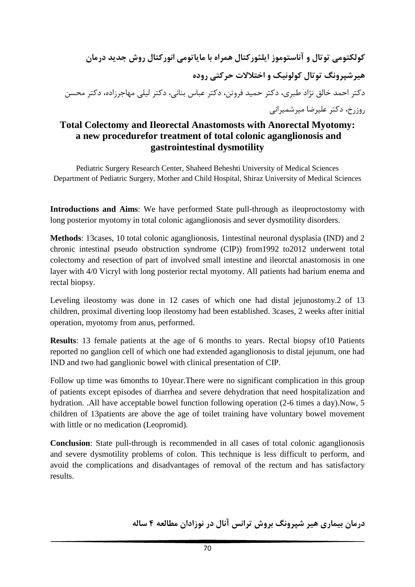**كولكتومي توتال و آناستوموز ايلئوركتال همراه با ماياتومي انوركتال روش جديد درمان هيرشپرونگ توتال كولونيك و اختلالات حركتي روده** دكتر احمد خالق نژاد طبري، دكتر حميد فروتن، دكتر عباس بناني، دكتر ليلي مهاجرزاده، دكتر محسن روزرخ، دكتر عليرضا ميرشميراني

## **Total Colectomy and Ileorectal Anastomosts with Anorectal Myotomy: a new procedurefor treatment of total colonic aganglionosis and gastrointestinal dysmotility**

Pediatric Surgery Research Center, Shaheed Beheshti University of Medical Sciences Department of Pediatric Surgery, Mother and Child Hospital, Shiraz University of Medical Sciences

**Introductions and Aims**: We have performed State pull-through as ileoproctostomy with long posterior myotomy in total colonic aganglionosis and sever dysmotility disorders.

**Methods**: 13cases, 10 total colonic aganglionosis, 1intestinal neuronal dysplasia (IND) and 2 chronic intestinal pseudo obstruction syndrome (CIP)) from1992 to2012 underwent total colectomy and resection of part of involved small intestine and ileorctal anastomosis in one layer with 4/0 Vicryl with long posterior rectal myotomy. All patients had barium enema and rectal biopsy.

Leveling ileostomy was done in 12 cases of which one had distal jejunostomy.2 of 13 children, proximal diverting loop ileostomy had been established. 3cases, 2 weeks after initial operation, myotomy from anus, performed.

**Results**: 13 female patients at the age of 6 months to years. Rectal biopsy of10 Patients reported no ganglion cell of which one had extended aganglionosis to distal jejunum, one had IND and two had ganglionic bowel with clinical presentation of CIP.

Follow up time was 6months to 10year.There were no significant complication in this group of patients except episodes of diarrhea and severe dehydration that need hospitalization and hydration. .All have acceptable bowel function following operation (2-6 times a day).Now, 5 children of 13patients are above the age of toilet training have voluntary bowel movement with little or no medication (Leopromid).

**Conclusion**: State pull-through is recommended in all cases of total colonic aganglionosis and severe dysmotility problems of colon. This technique is less difficult to perform, and avoid the complications and disadvantages of removal of the rectum and has satisfactory results.

**درمان بيماري هير شپرونگ بروش ترانس آنال در نوزادان مطالعه 4 ساله**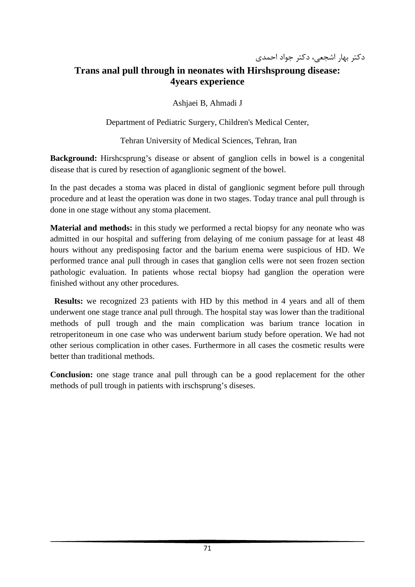## **Trans anal pull through in neonates with Hirshsproung disease: 4years experience**

Ashjaei B, Ahmadi J

Department of Pediatric Surgery, Children's Medical Center,

Tehran University of Medical Sciences, Tehran, Iran

**Background:** Hirshcsprung's disease or absent of ganglion cells in bowel is a congenital disease that is cured by resection of aganglionic segment of the bowel.

In the past decades a stoma was placed in distal of ganglionic segment before pull through procedure and at least the operation was done in two stages. Today trance anal pull through is done in one stage without any stoma placement.

**Material and methods:** in this study we performed a rectal biopsy for any neonate who was admitted in our hospital and suffering from delaying of me conium passage for at least 48 hours without any predisposing factor and the barium enema were suspicious of HD. We performed trance anal pull through in cases that ganglion cells were not seen frozen section pathologic evaluation. In patients whose rectal biopsy had ganglion the operation were finished without any other procedures.

 **Results:** we recognized 23 patients with HD by this method in 4 years and all of them underwent one stage trance anal pull through. The hospital stay was lower than the traditional methods of pull trough and the main complication was barium trance location in retroperitoneum in one case who was underwent barium study before operation. We had not other serious complication in other cases. Furthermore in all cases the cosmetic results were better than traditional methods.

**Conclusion:** one stage trance anal pull through can be a good replacement for the other methods of pull trough in patients with irschsprung's diseses.